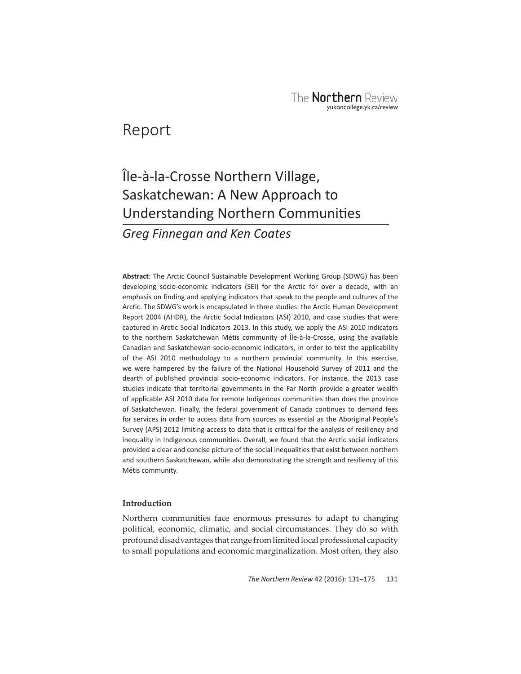## Report

# Île-à-la-Crosse Northern Village, Saskatchewan: A New Approach to Understanding Northern Communities

*Greg Finnegan and Ken Coates*

**Abstract**: The Arctic Council Sustainable Development Working Group (SDWG) has been developing socio-economic indicators (SEI) for the Arctic for over a decade, with an emphasis on finding and applying indicators that speak to the people and cultures of the Arctic. The SDWG's work is encapsulated in three studies: the Arctic Human Development Report 2004 (AHDR), the Arctic Social Indicators (ASI) 2010, and case studies that were captured in Arctic Social Indicators 2013. In this study, we apply the ASI 2010 indicators to the northern Saskatchewan Métis community of Île-à-la-Crosse, using the available Canadian and Saskatchewan socio-economic indicators, in order to test the applicability of the ASI 2010 methodology to a northern provincial community. In this exercise, we were hampered by the failure of the National Household Survey of 2011 and the dearth of published provincial socio-economic indicators. For instance, the 2013 case studies indicate that territorial governments in the Far North provide a greater wealth of applicable ASI 2010 data for remote Indigenous communities than does the province of Saskatchewan. Finally, the federal government of Canada continues to demand fees for services in order to access data from sources as essential as the Aboriginal People's Survey (APS) 2012 limiting access to data that is critical for the analysis of resiliency and inequality in Indigenous communities. Overall, we found that the Arctic social indicators provided a clear and concise picture of the social inequalities that exist between northern and southern Saskatchewan, while also demonstrating the strength and resiliency of this Métis community.

## **Introduction**

Northern communities face enormous pressures to adapt to changing political, economic, climatic, and social circumstances. They do so with profound disadvantages that range from limited local professional capacity to small populations and economic marginalization. Most often, they also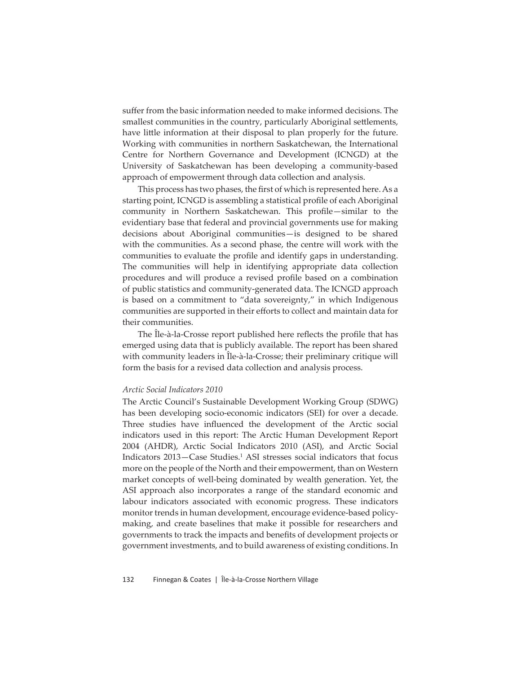suffer from the basic information needed to make informed decisions. The smallest communities in the country, particularly Aboriginal settlements, have little information at their disposal to plan properly for the future. Working with communities in northern Saskatchewan, the International Centre for Northern Governance and Development (ICNGD) at the University of Saskatchewan has been developing a community-based approach of empowerment through data collection and analysis.

This process has two phases, the first of which is represented here. As a starting point, ICNGD is assembling a statistical profile of each Aboriginal community in Northern Saskatchewan. This profile—similar to the evidentiary base that federal and provincial governments use for making decisions about Aboriginal communities—is designed to be shared with the communities. As a second phase, the centre will work with the communities to evaluate the profile and identify gaps in understanding. The communities will help in identifying appropriate data collection procedures and will produce a revised profile based on a combination of public statistics and community-generated data. The ICNGD approach is based on a commitment to "data sovereignty," in which Indigenous communities are supported in their efforts to collect and maintain data for their communities.

The Ile-à-la-Crosse report published here reflects the profile that has emerged using data that is publicly available. The report has been shared with community leaders in Ile-à-la-Crosse; their preliminary critique will form the basis for a revised data collection and analysis process.

#### *Arctic Social Indicators 2010*

The Arctic Council's Sustainable Development Working Group (SDWG) has been developing socio-economic indicators (SEI) for over a decade. Three studies have influenced the development of the Arctic social indicators used in this report: The Arctic Human Development Report 2004 (AHDR), Arctic Social Indicators 2010 (ASI), and Arctic Social Indicators 2013–Case Studies.<sup>1</sup> ASI stresses social indicators that focus more on the people of the North and their empowerment, than on Western market concepts of well-being dominated by wealth generation. Yet, the ASI approach also incorporates a range of the standard economic and labour indicators associated with economic progress. These indicators monitor trends in human development, encourage evidence-based policymaking, and create baselines that make it possible for researchers and governments to track the impacts and benefits of development projects or government investments, and to build awareness of existing conditions. In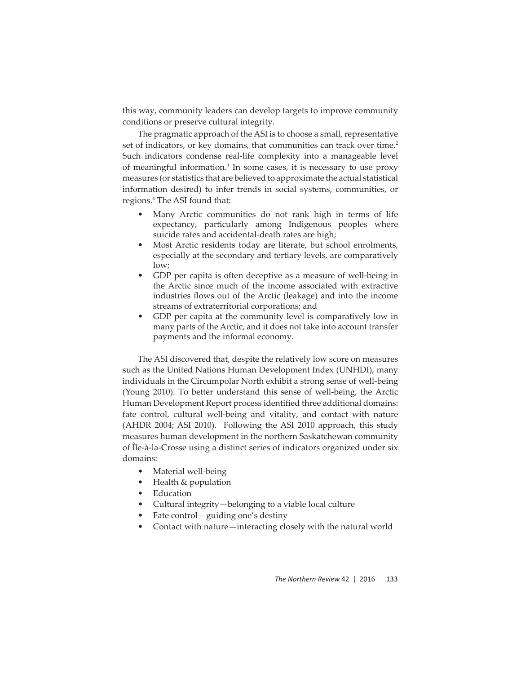this way, community leaders can develop targets to improve community conditions or preserve cultural integrity.

The pragmatic approach of the ASI is to choose a small, representative set of indicators, or key domains, that communities can track over time.<sup>2</sup> Such indicators condense real-life complexity into a manageable level of meaningful information.3 In some cases, it is necessary to use proxy measures (or statistics that are believed to approximate the actual statistical information desired) to infer trends in social systems, communities, or regions.4 The ASI found that:

- Many Arctic communities do not rank high in terms of life expectancy, particularly among Indigenous peoples where suicide rates and accidental-death rates are high;
- Most Arctic residents today are literate, but school enrolments, especially at the secondary and tertiary levels, are comparatively low;
- GDP per capita is often deceptive as a measure of well-being in the Arctic since much of the income associated with extractive industries flows out of the Arctic (leakage) and into the income streams of extraterritorial corporations; and
- GDP per capita at the community level is comparatively low in many parts of the Arctic, and it does not take into account transfer payments and the informal economy.

The ASI discovered that, despite the relatively low score on measures such as the United Nations Human Development Index (UNHDI), many individuals in the Circumpolar North exhibit a strong sense of well-being (Young 2010). To better understand this sense of well-being, the Arctic Human Development Report process identified three additional domains: fate control, cultural well-being and vitality, and contact with nature (AHDR 2004; ASI 2010). Following the ASI 2010 approach, this study measures human development in the northern Saskatchewan community of Île-à-la-Crosse using a distinct series of indicators organized under six domains:

- Material well-being
- Health & population
- Education
- Cultural integrity —belonging to a viable local culture
- Fate control—guiding one's destiny
- Contact with nature—interacting closely with the natural world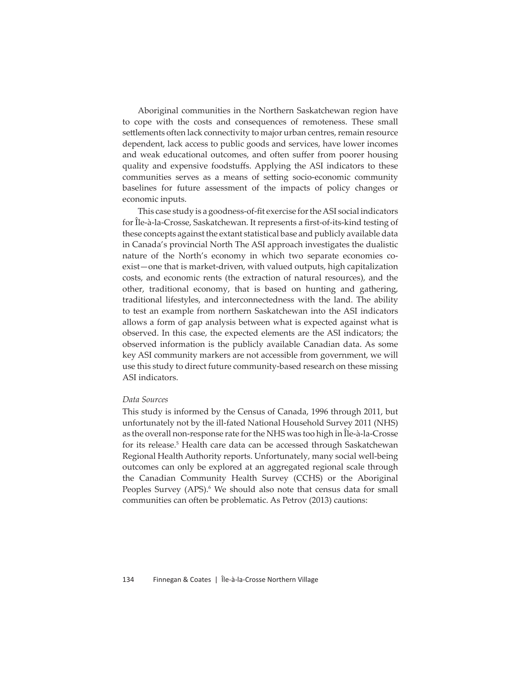Aboriginal communities in the Northern Saskatchewan region have to cope with the costs and consequences of remoteness. These small settlements often lack connectivity to major urban centres, remain resource dependent, lack access to public goods and services, have lower incomes and weak educational outcomes, and often suffer from poorer housing quality and expensive foodstuffs. Applying the ASI indicators to these communities serves as a means of setting socio-economic community baselines for future assessment of the impacts of policy changes or economic inputs.

This case study is a goodness-of-fit exercise for the ASI social indicators for Ile-à-la-Crosse, Saskatchewan. It represents a first-of-its-kind testing of these concepts against the extant statistical base and publicly available data in Canada's provincial North The ASI approach investigates the dualistic nature of the North's economy in which two separate economies coexist—one that is market-driven, with valued outputs, high capitalization costs, and economic rents (the extraction of natural resources), and the other, traditional economy, that is based on hunting and gathering, traditional lifestyles, and interconnectedness with the land. The ability to test an example from northern Saskatchewan into the ASI indicators allows a form of gap analysis between what is expected against what is observed. In this case, the expected elements are the ASI indicators; the observed information is the publicly available Canadian data. As some key ASI community markers are not accessible from government, we will use this study to direct future community-based research on these missing ASI indicators.

#### *Data Sources*

This study is informed by the Census of Canada, 1996 through 2011, but unfortunately not by the ill-fated National Household Survey 2011 (NHS) as the overall non-response rate for the NHS was too high in Île-à-la-Crosse for its release.<sup>5</sup> Health care data can be accessed through Saskatchewan Regional Health Authority reports. Unfortunately, many social well-being outcomes can only be explored at an aggregated regional scale through the Canadian Community Health Survey (CCHS) or the Aboriginal Peoples Survey (APS).<sup>6</sup> We should also note that census data for small communities can often be problematic. As Petrov (2013) cautions: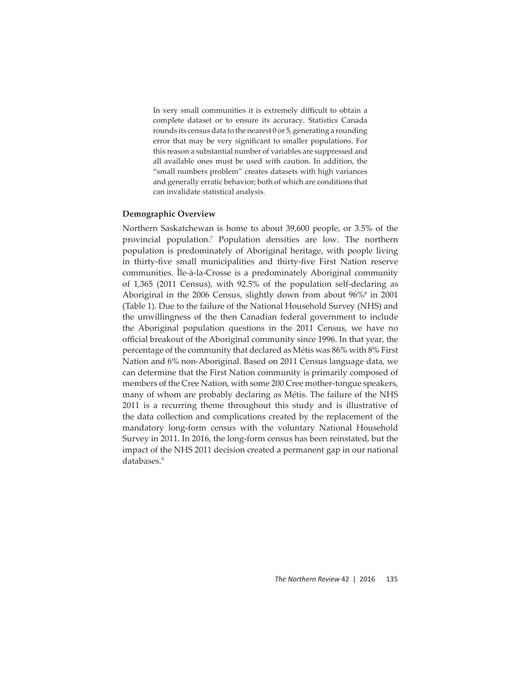In very small communities it is extremely difficult to obtain a complete dataset or to ensure its accuracy. Statistics Canada rounds its census data to the nearest 0 or 5, generating a rounding error that may be very significant to smaller populations. For this reason a substantial number of variables are suppressed and all available ones must be used with caution. In addition, the "small numbers problem" creates datasets with high variances and generally erratic behavior; both of which are conditions that can invalidate statistical analysis.

## **Demographic Overview**

Northern Saskatchewan is home to about 39,600 people, or 3.5% of the provincial population.7 Population densities are low. The northern population is predominately of Aboriginal heritage, with people living in thirty-five small municipalities and thirty-five First Nation reserve communities. Île-à-la-Crosse is a predominately Aboriginal community of 1,365 (2011 Census), with 92.5% of the population self-declaring as Aboriginal in the 2006 Census, slightly down from about 96%<sup>8</sup> in 2001 (Table 1). Due to the failure of the National Household Survey (NHS) and the unwillingness of the then Canadian federal government to include the Aboriginal population questions in the 2011 Census, we have no official breakout of the Aboriginal community since 1996. In that year, the percentage of the community that declared as Métis was 86% with 8% First Nation and 6% non-Aboriginal. Based on 2011 Census language data, we can determine that the First Nation community is primarily composed of members of the Cree Nation, with some 200 Cree mother-tongue speakers, many of whom are probably declaring as Métis. The failure of the NHS 2011 is a recurring theme throughout this study and is illustrative of the data collection and complications created by the replacement of the mandatory long-form census with the voluntary National Household Survey in 2011. In 2016, the long-form census has been reinstated, but the impact of the NHS 2011 decision created a permanent gap in our national databases.<sup>9</sup>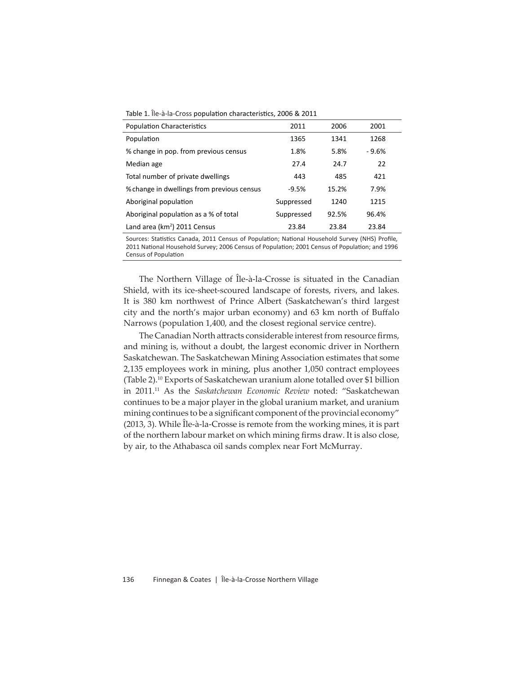Table 1. Île-à-la-Cross population characteristics, 2006 & 2011

| <b>Population Characteristics</b>          | 2011       | 2006  | 2001    |  |
|--------------------------------------------|------------|-------|---------|--|
| Population                                 | 1365       | 1341  | 1268    |  |
| % change in pop. from previous census      | 1.8%       | 5.8%  | $-9.6%$ |  |
| Median age                                 | 27.4       | 24.7  | 22      |  |
| Total number of private dwellings          | 443        | 485   | 421     |  |
| % change in dwellings from previous census | $-9.5%$    | 15.2% | 7.9%    |  |
| Aboriginal population                      | Suppressed | 1240  | 1215    |  |
| Aboriginal population as a % of total      | Suppressed | 92.5% | 96.4%   |  |
| Land area ( $km^2$ ) 2011 Census           | 23.84      | 23.84 | 23.84   |  |

Sources: Statistics Canada, 2011 Census of Population; National Household Survey (NHS) Profile, 2011 National Household Survey; 2006 Census of Population; 2001 Census of Population; and 1996 Census of Population

The Northern Village of Île-à-la-Crosse is situated in the Canadian Shield, with its ice-sheet-scoured landscape of forests, rivers, and lakes. It is 380 km northwest of Prince Albert (Saskatchewan's third largest city and the north's major urban economy) and 63 km north of Buffalo Narrows (population 1,400, and the closest regional service centre).

The Canadian North attracts considerable interest from resource firms, and mining is, without a doubt, the largest economic driver in Northern Saskatchewan. The Saskatchewan Mining Association estimates that some 2,135 employees work in mining, plus another 1,050 contract employees (Table 2).10 Exports of Saskatchewan uranium alone totalled over \$1 billion in 2011.11 As the *Saskatchewan Economic Review* noted: "Saskatchewan continues to be a major player in the global uranium market, and uranium mining continues to be a significant component of the provincial economy" (2013, 3). While Île-à-la-Crosse is remote from the working mines, it is part of the northern labour market on which mining firms draw. It is also close, by air, to the Athabasca oil sands complex near Fort McMurray.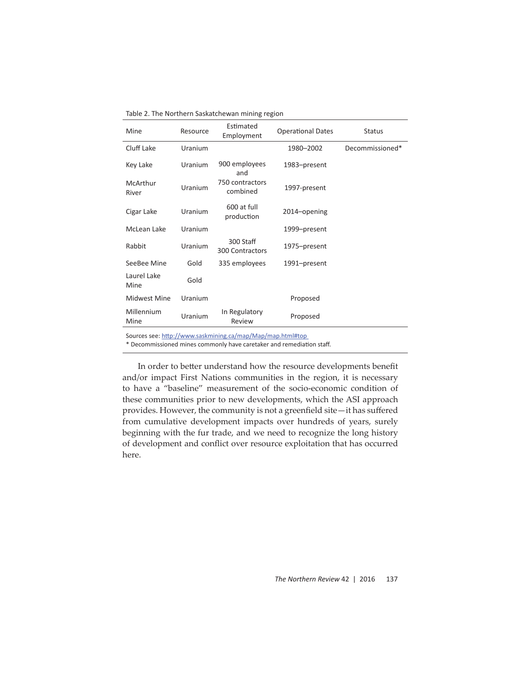Table 2. The Northern Saskatchewan mining region

| Mine                | Resource | Estimated<br>Employment             | <b>Operational Dates</b> | <b>Status</b>   |
|---------------------|----------|-------------------------------------|--------------------------|-----------------|
| Cluff Lake          | Uranium  |                                     | 1980-2002                | Decommissioned* |
| Key Lake            | Uranium  | 900 employees<br>and                | 1983-present             |                 |
| McArthur<br>River   | Uranium  | 750 contractors<br>combined         | 1997-present             |                 |
| Cigar Lake          | Uranium  | 600 at full<br>production           | 2014-opening             |                 |
| McLean Lake         | Uranium  |                                     | 1999–present             |                 |
| Rabbit              | Uranium  | 300 Staff<br>300 Contractors        | 1975-present             |                 |
| SeeBee Mine         | Gold     | 335 employees                       | 1991–present             |                 |
| Laurel Lake<br>Mine | Gold     |                                     |                          |                 |
| Midwest Mine        | Uranium  |                                     | Proposed                 |                 |
| Millennium<br>Mine  | Uranium  | In Regulatory<br>Review             | Proposed                 |                 |
|                     |          | the contract of the contract of the |                          |                 |

Sources see: http://www.saskmining.ca/map/Map/map.html#top

\* Decommissioned mines commonly have caretaker and remediation staff.

In order to better understand how the resource developments benefit and/or impact First Nations communities in the region, it is necessary to have a "baseline" measurement of the socio-economic condition of these communities prior to new developments, which the ASI approach provides. However, the community is not a greenfield site-it has suffered from cumulative development impacts over hundreds of years, surely beginning with the fur trade, and we need to recognize the long history of development and conflict over resource exploitation that has occurred here.

*The Northern Review* 42 | 2016 137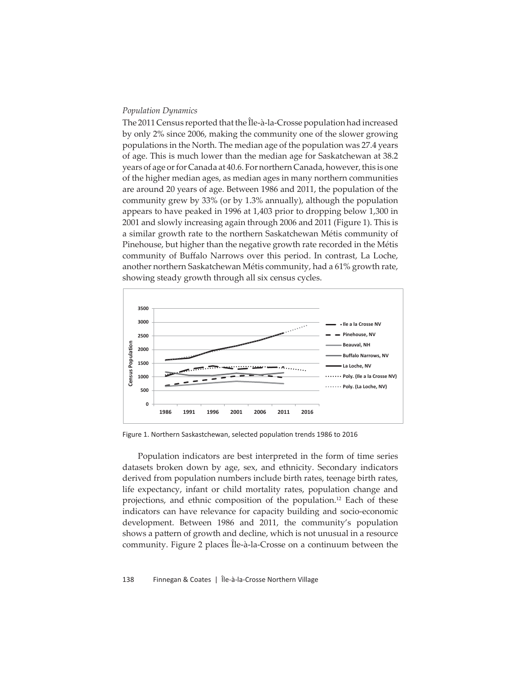#### *Population Dynamics*

The 2011 Census reported that the Île-à-la-Crosse population had increased by only 2% since 2006, making the community one of the slower growing populations in the North. The median age of the population was 27.4 years of age. This is much lower than the median age for Saskatchewan at 38.2 years of age or for Canada at 40.6. For northern Canada, however, this is one of the higher median ages, as median ages in many northern communities are around 20 years of age. Between 1986 and 2011, the population of the community grew by 33% (or by 1.3% annually), although the population appears to have peaked in 1996 at 1,403 prior to dropping below 1,300 in 2001 and slowly increasing again through 2006 and 2011 (Figure 1). This is a similar growth rate to the northern Saskatchewan Métis community of Pinehouse, but higher than the negative growth rate recorded in the Métis community of Buffalo Narrows over this period. In contrast, La Loche, another northern Saskatchewan Métis community, had a 61% growth rate, showing steady growth through all six census cycles.



Figure 1. Northern Saskastchewan, selected population trends 1986 to 2016

Population indicators are best interpreted in the form of time series datasets broken down by age, sex, and ethnicity. Secondary indicators derived from population numbers include birth rates, teenage birth rates, life expectancy, infant or child mortality rates, population change and projections, and ethnic composition of the population.<sup>12</sup> Each of these indicators can have relevance for capacity building and socio-economic development. Between 1986 and 2011, the community's population shows a pattern of growth and decline, which is not unusual in a resource community. Figure 2 places Île-à-la-Crosse on a continuum between the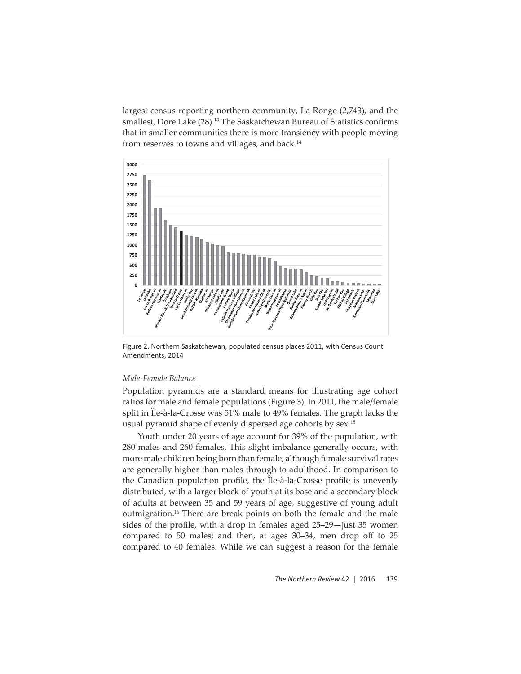largest census-reporting northern community, La Ronge (2,743), and the smallest, Dore Lake (28).<sup>13</sup> The Saskatchewan Bureau of Statistics confirms that in smaller communities there is more transiency with people moving from reserves to towns and villages, and back.<sup>14</sup>



Figure 2. Northern Saskatchewan, populated census places 2011, with Census Count Amendments, 2014

## *Male-Female Balance*

Population pyramids are a standard means for illustrating age cohort ratios for male and female populations (Figure 3). In 2011, the male/female split in Île-à-la-Crosse was 51% male to 49% females. The graph lacks the usual pyramid shape of evenly dispersed age cohorts by sex.<sup>15</sup>

Youth under 20 years of age account for 39% of the population, with 280 males and 260 females. This slight imbalance generally occurs, with more male children being born than female, although female survival rates are generally higher than males through to adulthood. In comparison to the Canadian population profile, the Île-à-la-Crosse profile is unevenly distributed, with a larger block of youth at its base and a secondary block of adults at between 35 and 59 years of age, suggestive of young adult outmigration.<sup>16</sup> There are break points on both the female and the male sides of the profile, with a drop in females aged  $25-29$  -just 35 women compared to 50 males; and then, at ages 30–34, men drop off to 25 compared to 40 females. While we can suggest a reason for the female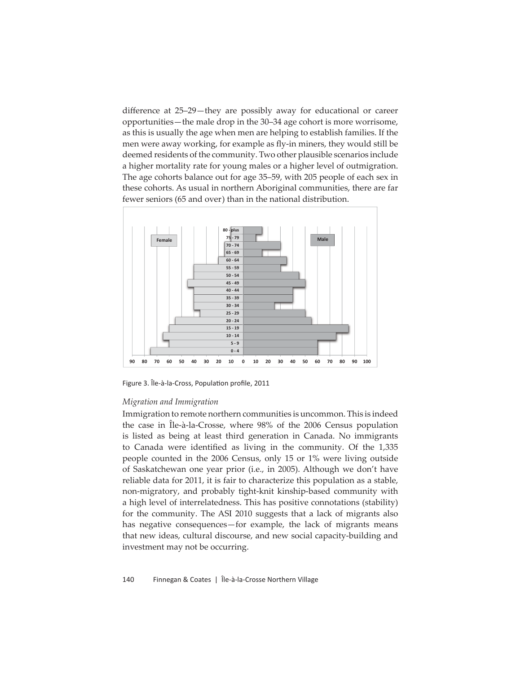difference at 25–29—they are possibly away for educational or career opportunities—the male drop in the 30–34 age cohort is more worrisome, as this is usually the age when men are helping to establish families. If the men were away working, for example as fly-in miners, they would still be deemed residents of the community. Two other plausible scenarios include a higher mortality rate for young males or a higher level of outmigration. The age cohorts balance out for age 35–59, with 205 people of each sex in these cohorts. As usual in northern Aboriginal communities, there are far fewer seniors (65 and over) than in the national distribution.



Figure 3. Île-à-la-Cross, Population profile, 2011

#### *Migration and Immigration*

Immigration to remote northern communities is uncommon. This is indeed the case in Île-à-la-Crosse, where 98% of the 2006 Census population is listed as being at least third generation in Canada. No immigrants to Canada were identified as living in the community. Of the 1,335 people counted in the 2006 Census, only 15 or 1% were living outside of Saskatchewan one year prior (i.e., in 2005). Although we don't have reliable data for 2011, it is fair to characterize this population as a stable, non-migratory, and probably tight-knit kinship-based community with a high level of interrelatedness. This has positive connotations (stability) for the community. The ASI 2010 suggests that a lack of migrants also has negative consequences—for example, the lack of migrants means that new ideas, cultural discourse, and new social capacity-building and investment may not be occurring.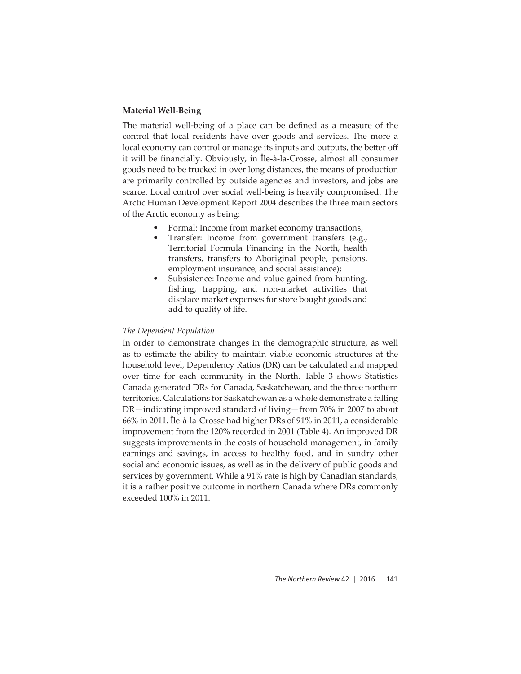## **Material Well-Being**

The material well-being of a place can be defined as a measure of the control that local residents have over goods and services. The more a local economy can control or manage its inputs and outputs, the better off it will be financially. Obviously, in Île-à-la-Crosse, almost all consumer goods need to be trucked in over long distances, the means of production are primarily controlled by outside agencies and investors, and jobs are scarce. Local control over social well-being is heavily compromised. The Arctic Human Development Report 2004 describes the three main sectors of the Arctic economy as being:

- Formal: Income from market economy transactions;
- Transfer: Income from government transfers (e.g., Territorial Formula Financing in the North, health transfers, transfers to Aboriginal people, pensions, employment insurance, and social assistance);
- Subsistence: Income and value gained from hunting, fishing, trapping, and non-market activities that displace market expenses for store bought goods and add to quality of life.

## *The Dependent Population*

In order to demonstrate changes in the demographic structure, as well as to estimate the ability to maintain viable economic structures at the household level, Dependency Ratios (DR) can be calculated and mapped over time for each community in the North. Table 3 shows Statistics Canada generated DRs for Canada, Saskatchewan, and the three northern territories. Calculations for Saskatchewan as a whole demonstrate a falling DR—indicating improved standard of living—from 70% in 2007 to about 66% in 2011. Île-à-la-Crosse had higher DRs of 91% in 2011, a considerable improvement from the 120% recorded in 2001 (Table 4). An improved DR suggests improvements in the costs of household management, in family earnings and savings, in access to healthy food, and in sundry other social and economic issues, as well as in the delivery of public goods and services by government. While a 91% rate is high by Canadian standards, it is a rather positive outcome in northern Canada where DRs commonly exceeded 100% in 2011.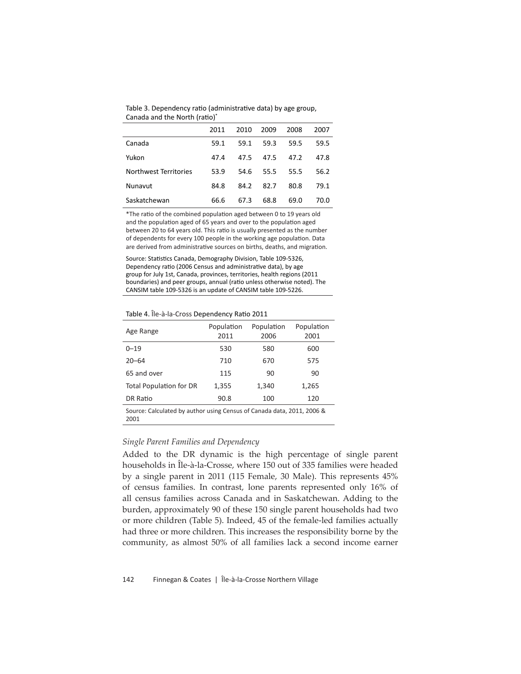Table 3. Dependency ratio (administrative data) by age group, Canada and the North (ratio)\*

|                       | 2011 | 2010 | 2009 | 2008 | 2007 |
|-----------------------|------|------|------|------|------|
| Canada                | 59.1 | 59.1 | 59.3 | 59.5 | 59.5 |
| Yukon                 | 47.4 | 47.5 | 47.5 | 47.2 | 47.8 |
| Northwest Territories | 53.9 | 54.6 | 55.5 | 55.5 | 56.2 |
| Nunavut               | 84.8 | 84.2 | 82.7 | 80.8 | 79.1 |
| Saskatchewan          | 66.6 | 67.3 | 68.8 | 69.0 | 70.0 |

\*The ratio of the combined population aged between 0 to 19 years old and the population aged of 65 years and over to the population aged between 20 to 64 years old. This ratio is usually presented as the number of dependents for every 100 people in the working age population. Data are derived from administrative sources on births, deaths, and migration.

Source: Statistics Canada, Demography Division, Table 109-5326, Dependency ratio (2006 Census and administrative data), by age group for July 1st, Canada, provinces, territories, health regions (2011 boundaries) and peer groups, annual (ratio unless otherwise noted). The CANSIM table 109-5326 is an update of CANSIM table 109-5226.

Table 4. Île-à-la-Cross Dependency Ratio 2011

| Age Range                                                                      | Population<br>2011 | Population<br>2006 | Population<br>2001 |  |  |  |
|--------------------------------------------------------------------------------|--------------------|--------------------|--------------------|--|--|--|
| $0 - 19$                                                                       | 530                | 580                | 600                |  |  |  |
| $20 - 64$                                                                      | 710                | 670                | 575                |  |  |  |
| 65 and over                                                                    | 115                | 90                 | 90                 |  |  |  |
| <b>Total Population for DR</b>                                                 | 1,355              | 1,340              | 1,265              |  |  |  |
| DR Ratio                                                                       | 90.8               | 100                | 120                |  |  |  |
| Source: Calculated by author using Census of Canada data, 2011, 2006 &<br>2001 |                    |                    |                    |  |  |  |

#### *Single Parent Families and Dependency*

Added to the DR dynamic is the high percentage of single parent households in Île-à-la-Crosse, where 150 out of 335 families were headed by a single parent in 2011 (115 Female, 30 Male). This represents 45% of census families. In contrast, lone parents represented only 16% of all census families across Canada and in Saskatchewan. Adding to the burden, approximately 90 of these 150 single parent households had two or more children (Table 5). Indeed, 45 of the female-led families actually had three or more children. This increases the responsibility borne by the community, as almost 50% of all families lack a second income earner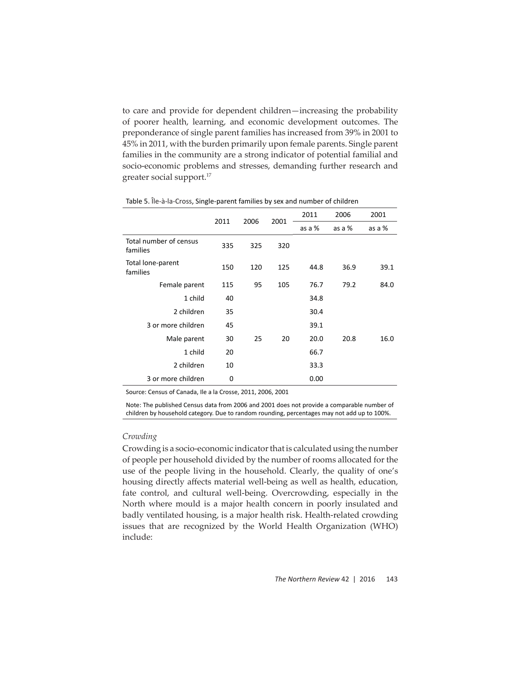to care and provide for dependent children—increasing the probability of poorer health, learning, and economic development outcomes. The preponderance of single parent families has increased from 39% in 2001 to 45% in 2011, with the burden primarily upon female parents. Single parent families in the community are a strong indicator of potential familial and socio-economic problems and stresses, demanding further research and greater social support.17

|                                    |      |      | 2001 | 2011   | 2006   | 2001   |
|------------------------------------|------|------|------|--------|--------|--------|
|                                    | 2011 | 2006 |      | as a % | as a % | as a % |
| Total number of census<br>families | 335  | 325  | 320  |        |        |        |
| Total lone-parent<br>families      | 150  | 120  | 125  | 44.8   | 36.9   | 39.1   |
| Female parent                      | 115  | 95   | 105  | 76.7   | 79.2   | 84.0   |
| 1 child                            | 40   |      |      | 34.8   |        |        |
| 2 children                         | 35   |      |      | 30.4   |        |        |
| 3 or more children                 | 45   |      |      | 39.1   |        |        |
| Male parent                        | 30   | 25   | 20   | 20.0   | 20.8   | 16.0   |
| 1 child                            | 20   |      |      | 66.7   |        |        |
| 2 children                         | 10   |      |      | 33.3   |        |        |
| 3 or more children                 | 0    |      |      | 0.00   |        |        |

Table 5. Île-à-la-Cross, Single-parent families by sex and number of children

Source: Census of Canada, Ile a la Crosse, 2011, 2006, 2001

Note: The published Census data from 2006 and 2001 does not provide a comparable number of children by household category. Due to random rounding, percentages may not add up to 100%.

## *Crowding*

Crowding is a socio-economic indicator that is calculated using the number of people per household divided by the number of rooms allocated for the use of the people living in the household. Clearly, the quality of one's housing directly affects material well-being as well as health, education, fate control, and cultural well-being. Overcrowding, especially in the North where mould is a major health concern in poorly insulated and badly ventilated housing, is a major health risk. Health-related crowding issues that are recognized by the World Health Organization (WHO) include: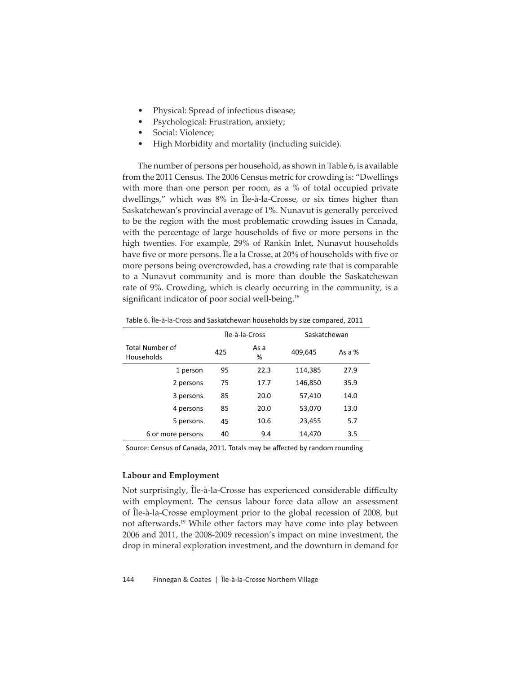- Physical: Spread of infectious disease;
- Psychological: Frustration, anxiety;
- Social: Violence;
- High Morbidity and mortality (including suicide).

The number of persons per household, as shown in Table 6, is available from the 2011 Census. The 2006 Census metric for crowding is: "Dwellings with more than one person per room, as a % of total occupied private dwellings," which was 8% in Île-à-la-Crosse, or six times higher than Saskatchewan's provincial average of 1%. Nunavut is generally perceived to be the region with the most problematic crowding issues in Canada, with the percentage of large households of five or more persons in the high twenties. For example, 29% of Rankin Inlet, Nunavut households have five or more persons. Île a la Crosse, at 20% of households with five or more persons being overcrowded, has a crowding rate that is comparable to a Nunavut community and is more than double the Saskatchewan rate of 9%. Crowding, which is clearly occurring in the community, is a significant indicator of poor social well-being.<sup>18</sup>

|                                                                           | Île-à-la-Cross |           | Saskatchewan |          |  |  |
|---------------------------------------------------------------------------|----------------|-----------|--------------|----------|--|--|
| Total Number of<br>Households                                             | 425            | As a<br>% | 409,645      | As a $%$ |  |  |
| 1 person                                                                  | 95             | 22.3      | 114,385      | 27.9     |  |  |
| 2 persons                                                                 | 75             | 17.7      | 146,850      | 35.9     |  |  |
| 3 persons                                                                 | 85             | 20.0      | 57,410       | 14.0     |  |  |
| 4 persons                                                                 | 85             | 20.0      | 53,070       | 13.0     |  |  |
| 5 persons                                                                 | 45             | 10.6      | 23,455       | 5.7      |  |  |
| 6 or more persons                                                         | 40             | 9.4       | 14,470       | 3.5      |  |  |
| Source: Census of Canada, 2011. Totals may be affected by random rounding |                |           |              |          |  |  |

Table 6. Île-à-la-Cross and Saskatchewan households by size compared, 2011

#### **Labour and Employment**

Not surprisingly, Île-à-la-Crosse has experienced considerable difficulty with employment. The census labour force data allow an assessment of Île-à-la-Crosse employment prior to the global recession of 2008, but not afterwards.19 While other factors may have come into play between 2006 and 2011, the 2008-2009 recession's impact on mine investment, the drop in mineral exploration investment, and the downturn in demand for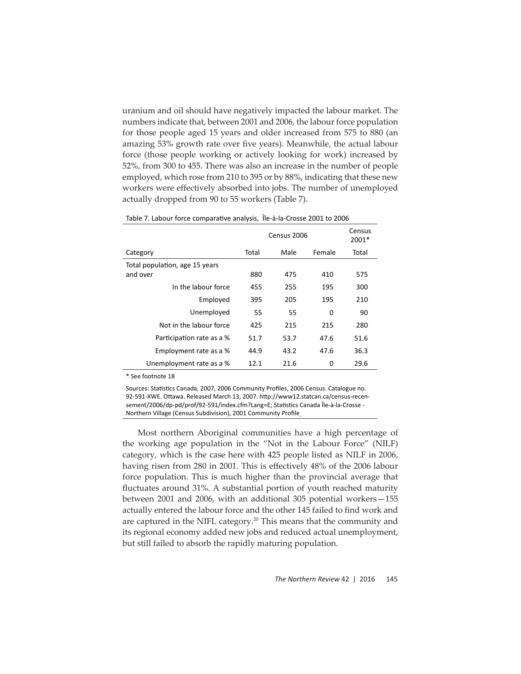uranium and oil should have negatively impacted the labour market. The numbers indicate that, between 2001 and 2006, the labour force population for those people aged 15 years and older increased from 575 to 880 (an amazing 53% growth rate over five years). Meanwhile, the actual labour force (those people working or actively looking for work) increased by 52%, from 300 to 455. There was also an increase in the number of people employed, which rose from 210 to 395 or by 88%, indicating that these new workers were effectively absorbed into jobs. The number of unemployed actually dropped from 90 to 55 workers (Table 7).

|                                            | Census 2006 | Census<br>2001* |          |       |
|--------------------------------------------|-------------|-----------------|----------|-------|
| Category                                   | Total       | Male            | Female   | Total |
| Total population, age 15 years<br>and over | 880         | 475             | 410      | 575   |
| In the labour force                        | 455         | 255             | 195      | 300   |
| Employed                                   | 395         | 205             | 195      | 210   |
| Unemployed                                 | 55          | 55              | $\Omega$ | 90    |
| Not in the labour force                    | 425         | 215             | 215      | 280   |
| Participation rate as a %                  | 51.7        | 53.7            | 47.6     | 51.6  |
| Employment rate as a %                     | 44.9        | 43.2            | 47.6     | 36.3  |
| Unemployment rate as a %                   | 12.1        | 21.6            | 0        | 29.6  |

Table 7. Labour force comparative analysis, Île-à-la-Crosse 2001 to 2006

\* See footnote 18

Sources: Statistics Canada, 2007, 2006 Community Profiles, 2006 Census. Catalogue no. 92-591-XWE. Ottawa. Released March 13, 2007. http://www12.statcan.ca/census-recensement/2006/dp-pd/prof/92-591/index.cfm?Lang=E; Statistics Canada Île-à-la-Crosse -Northern Village (Census Subdivision), 2001 Community Profile

Most northern Aboriginal communities have a high percentage of the working age population in the "Not in the Labour Force" (NILF) category, which is the case here with 425 people listed as NILF in 2006, having risen from 280 in 2001. This is effectively 48% of the 2006 labour force population. This is much higher than the provincial average that fluctuates around 31%. A substantial portion of youth reached maturity between 2001 and 2006, with an additional 305 potential workers—155 actually entered the labour force and the other 145 failed to find work and are captured in the NIFL category.<sup>20</sup> This means that the community and its regional economy added new jobs and reduced actual unemployment, but still failed to absorb the rapidly maturing population.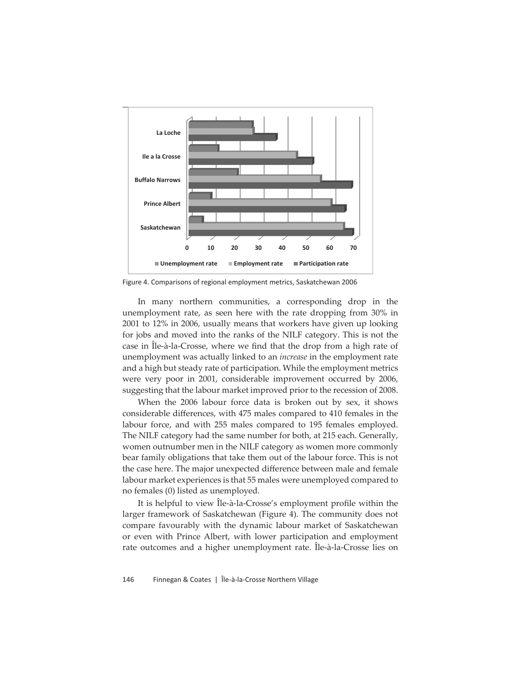

Figure 4. Comparisons of regional employment metrics, Saskatchewan 2006

In many northern communities, a corresponding drop in the unemployment rate, as seen here with the rate dropping from 30% in 2001 to 12% in 2006, usually means that workers have given up looking for jobs and moved into the ranks of the NILF category. This is not the case in Île-à-la-Crosse, where we find that the drop from a high rate of unemployment was actually linked to an *increase* in the employment rate and a high but steady rate of participation. While the employment metrics were very poor in 2001, considerable improvement occurred by 2006, suggesting that the labour market improved prior to the recession of 2008.

When the 2006 labour force data is broken out by sex, it shows considerable differences, with 475 males compared to 410 females in the labour force, and with 255 males compared to 195 females employed. The NILF category had the same number for both, at 215 each. Generally, women outnumber men in the NILF category as women more commonly bear family obligations that take them out of the labour force. This is not the case here. The major unexpected difference between male and female labour market experiences is that 55 males were unemployed compared to no females (0) listed as unemployed.

It is helpful to view Île-à-la-Crosse's employment profile within the larger framework of Saskatchewan (Figure 4). The community does not compare favourably with the dynamic labour market of Saskatchewan or even with Prince Albert, with lower participation and employment rate outcomes and a higher unemployment rate. Île-à-la-Crosse lies on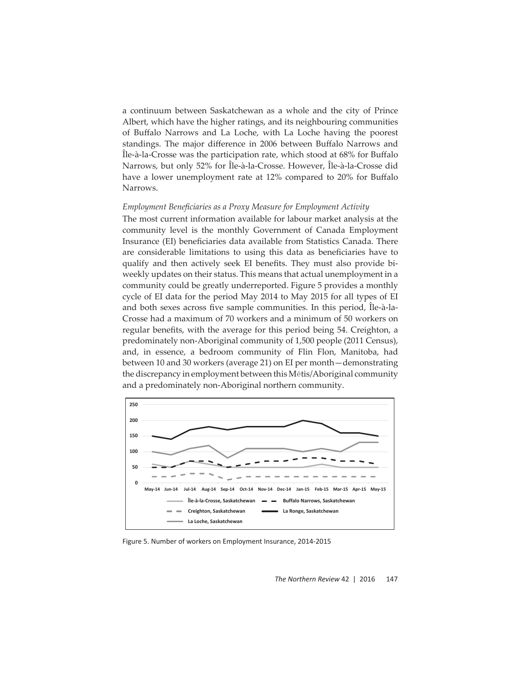a continuum between Saskatchewan as a whole and the city of Prince Albert, which have the higher ratings, and its neighbouring communities of Buffalo Narrows and La Loche, with La Loche having the poorest standings. The major difference in 2006 between Buffalo Narrows and  $\hat{\text{I}}$ le-à-la-Crosse was the participation rate, which stood at 68% for Buffalo Narrows, but only 52% for Île-à-la-Crosse. However, Île-à-la-Crosse did have a lower unemployment rate at 12% compared to 20% for Buffalo Narrows.

## *Employment Beneficiaries as a Proxy Measure for Employment Activity*

The most current information available for labour market analysis at the community level is the monthly Government of Canada Employment Insurance (EI) beneficiaries data available from Statistics Canada. There are considerable limitations to using this data as beneficiaries have to qualify and then actively seek EI benefits. They must also provide biweekly updates on their status. This means that actual unemployment in a community could be greatly underreported. Figure 5 provides a monthly cycle of EI data for the period May 2014 to May 2015 for all types of EI and both sexes across five sample communities. In this period, Île-à-la-Crosse had a maximum of 70 workers and a minimum of 50 workers on regular benefits, with the average for this period being 54. Creighton, a predominately non-Aboriginal community of 1,500 people (2011 Census), and, in essence, a bedroom community of Flin Flon, Manitoba, had between 10 and 30 workers (average 21) on EI per month—demonstrating the discrepancy in employment between this Métis/Aboriginal community and a predominately non-Aboriginal northern community.



Figure 5. Number of workers on Employment Insurance, 2014-2015

*The Northern Review* 42 | 2016 147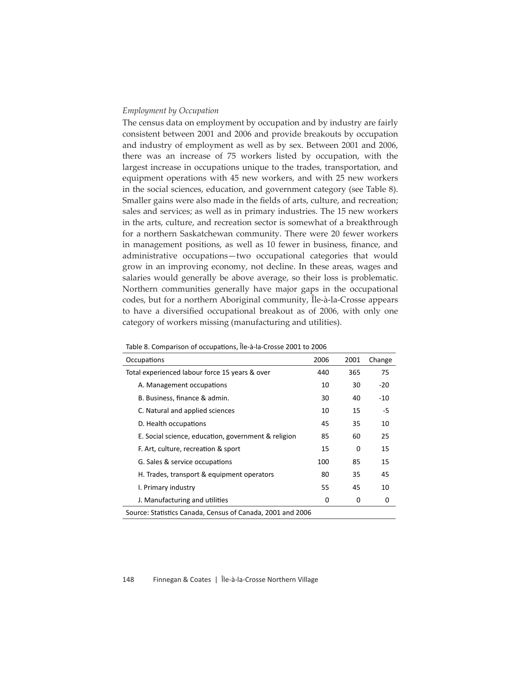## *Employment by Occupation*

The census data on employment by occupation and by industry are fairly consistent between 2001 and 2006 and provide breakouts by occupation and industry of employment as well as by sex. Between 2001 and 2006, there was an increase of 75 workers listed by occupation, with the largest increase in occupations unique to the trades, transportation, and equipment operations with 45 new workers, and with 25 new workers in the social sciences, education, and government category (see Table 8). Smaller gains were also made in the fields of arts, culture, and recreation; sales and services; as well as in primary industries. The 15 new workers in the arts, culture, and recreation sector is somewhat of a breakthrough for a northern Saskatchewan community. There were 20 fewer workers in management positions, as well as 10 fewer in business, finance, and administrative occupations—two occupational categories that would grow in an improving economy, not decline. In these areas, wages and salaries would generally be above average, so their loss is problematic. Northern communities generally have major gaps in the occupational codes, but for a northern Aboriginal community, Île-à-la-Crosse appears to have a diversified occupational breakout as of 2006, with only one category of workers missing (manufacturing and utilities).

| Table of Comparison or occupations, he also crosse zood to zood |      |      |        |  |  |  |
|-----------------------------------------------------------------|------|------|--------|--|--|--|
| Occupations                                                     | 2006 | 2001 | Change |  |  |  |
| Total experienced labour force 15 years & over                  | 440  | 365  | 75     |  |  |  |
| A. Management occupations                                       | 10   | 30   | $-20$  |  |  |  |
| B. Business, finance & admin.                                   | 30   | 40   | $-10$  |  |  |  |
| C. Natural and applied sciences                                 | 10   | 15   | -5     |  |  |  |
| D. Health occupations                                           | 45   | 35   | 10     |  |  |  |
| E. Social science, education, government & religion             | 85   | 60   | 25     |  |  |  |
| F. Art, culture, recreation & sport                             | 15   | 0    | 15     |  |  |  |
| G. Sales & service occupations                                  | 100  | 85   | 15     |  |  |  |
| H. Trades, transport & equipment operators                      | 80   | 35   | 45     |  |  |  |
| I. Primary industry                                             | 55   | 45   | 10     |  |  |  |
| J. Manufacturing and utilities                                  | 0    | 0    | 0      |  |  |  |
|                                                                 |      |      |        |  |  |  |

Table 8. Comparison of occupations, Île-à-la-Crosse 2001 to 2006

Source: Statistics Canada, Census of Canada, 2001 and 2006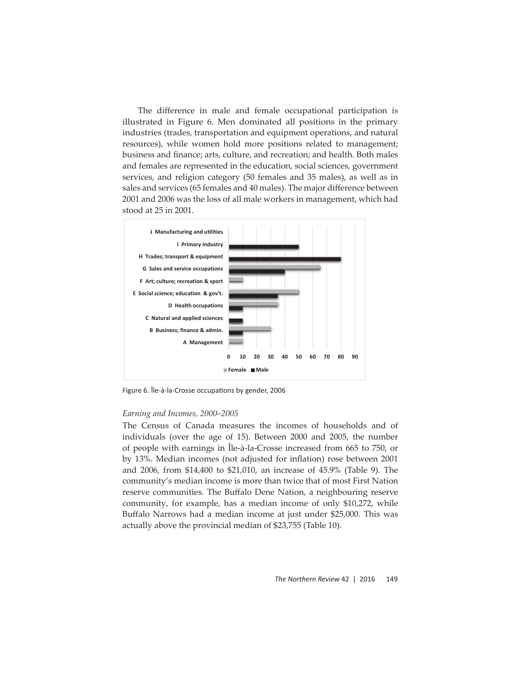The difference in male and female occupational participation is illustrated in Figure 6. Men dominated all positions in the primary industries (trades, transportation and equipment operations, and natural resources), while women hold more positions related to management; business and finance; arts, culture, and recreation; and health. Both males and females are represented in the education, social sciences, government services, and religion category (50 females and 35 males), as well as in sales and services (65 females and 40 males). The major difference between 2001 and 2006 was the loss of all male workers in management, which had stood at 25 in 2001.



Figure 6. Île-à-la-Crosse occupations by gender, 2006

#### *Earning and Incomes, 2000–2005*

The Census of Canada measures the incomes of households and of individuals (over the age of 15). Between 2000 and 2005, the number of people with earnings in Île-à-la-Crosse increased from 665 to 750, or by 13%. Median incomes (not adjusted for inflation) rose between 2001 and 2006, from \$14,400 to \$21,010, an increase of 45.9% (Table 9). The community's median income is more than twice that of most First Nation reserve communities. The Buffalo Dene Nation, a neighbouring reserve community, for example, has a median income of only \$10,272, while Buffalo Narrows had a median income at just under \$25,000. This was actually above the provincial median of \$23,755 (Table 10).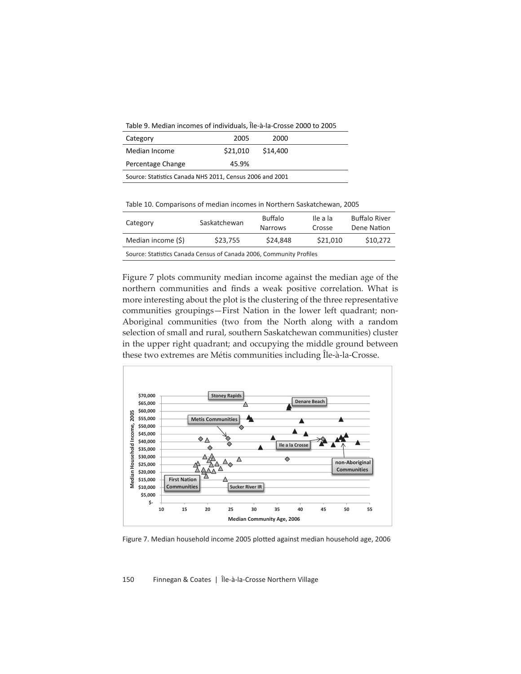Table 9. Median incomes of individuals, Île-à-la-Crosse 2000 to 2005

| Category                                                 | 2005     | 2000     |  |  |  |  |
|----------------------------------------------------------|----------|----------|--|--|--|--|
| Median Income                                            | \$21.010 | \$14,400 |  |  |  |  |
| Percentage Change                                        | 45.9%    |          |  |  |  |  |
| Source: Statistics Canada NHS 2011, Census 2006 and 2001 |          |          |  |  |  |  |

Table 10. Comparisons of median incomes in Northern Saskatchewan, 2005

| Category                                                            | Saskatchewan | <b>Buffalo</b><br><b>Narrows</b> |          | <b>Buffalo River</b><br>Dene Nation |  |  |
|---------------------------------------------------------------------|--------------|----------------------------------|----------|-------------------------------------|--|--|
| Median income (\$)                                                  | \$23.755     | \$24.848                         | \$21,010 | \$10,272                            |  |  |
| Source: Statistics Canada Census of Canada 2006, Community Profiles |              |                                  |          |                                     |  |  |

Figure 7 plots community median income against the median age of the northern communities and finds a weak positive correlation. What is more interesting about the plot is the clustering of the three representative communities groupings—First Nation in the lower left quadrant; non-Aboriginal communities (two from the North along with a random selection of small and rural, southern Saskatchewan communities) cluster in the upper right quadrant; and occupying the middle ground between these two extremes are Métis communities including Île-à-la-Crosse.



Figure 7. Median household income 2005 plotted against median household age, 2006

150 Finnegan & Coates | Île-à-la-Crosse Northern Village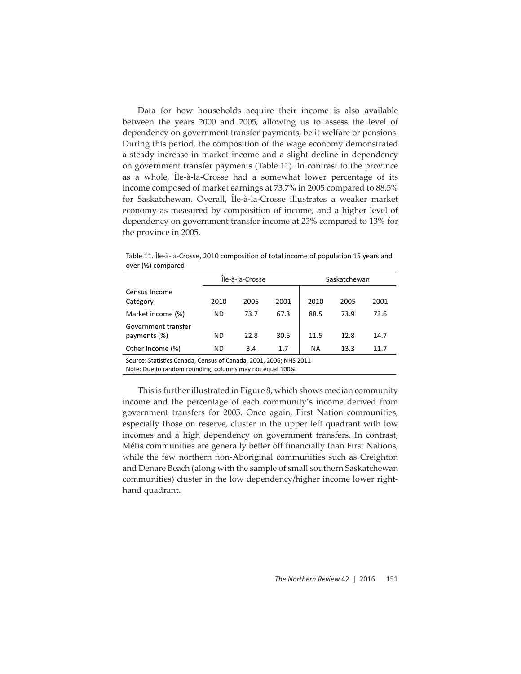Data for how households acquire their income is also available between the years 2000 and 2005, allowing us to assess the level of dependency on government transfer payments, be it welfare or pensions. During this period, the composition of the wage economy demonstrated a steady increase in market income and a slight decline in dependency on government transfer payments (Table 11). In contrast to the province as a whole, Île-à-la-Crosse had a somewhat lower percentage of its income composed of market earnings at 73.7% in 2005 compared to 88.5% for Saskatchewan. Overall, Île-à-la-Crosse illustrates a weaker market economy as measured by composition of income, and a higher level of dependency on government transfer income at 23% compared to 13% for the province in 2005.

Table 11. Île-à-la-Crosse, 2010 composition of total income of population 15 years and over (%) compared

|                                                                   | Île-à-la-Crosse |      |      | Saskatchewan |      |      |
|-------------------------------------------------------------------|-----------------|------|------|--------------|------|------|
| Census Income<br>Category                                         | 2010            | 2005 | 2001 | 2010         | 2005 | 2001 |
| Market income (%)                                                 | ND.             | 73.7 | 67.3 | 88.5         | 73.9 | 73.6 |
| Government transfer<br>payments (%)                               | ND.             | 22.8 | 30.5 | 11.5         | 12.8 | 14.7 |
| Other Income (%)                                                  | ND.             | 3.4  | 1.7  | ΝA           | 13.3 | 11.7 |
| Source: Statistics Canada, Census of Canada, 2001, 2006; NHS 2011 |                 |      |      |              |      |      |

Note: Due to random rounding, columns may not equal 100%

This is further illustrated in Figure 8, which shows median community income and the percentage of each community's income derived from government transfers for 2005. Once again, First Nation communities, especially those on reserve, cluster in the upper left quadrant with low incomes and a high dependency on government transfers. In contrast, Métis communities are generally better off financially than First Nations, while the few northern non-Aboriginal communities such as Creighton and Denare Beach (along with the sample of small southern Saskatchewan communities) cluster in the low dependency/higher income lower righthand quadrant.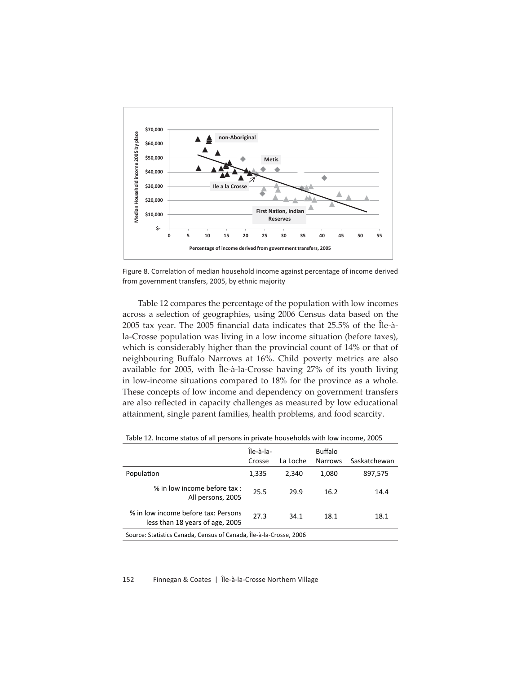

Figure 8. Correlation of median household income against percentage of income derived from government transfers, 2005, by ethnic majority

Table 12 compares the percentage of the population with low incomes across a selection of geographies, using 2006 Census data based on the 2005 tax year. The 2005 financial data indicates that  $25.5\%$  of the  $\hat{I}$ le-àla-Crosse population was living in a low income situation (before taxes), which is considerably higher than the provincial count of 14% or that of neighbouring Buffalo Narrows at 16%. Child poverty metrics are also available for 2005, with Île-à-la-Crosse having 27% of its youth living in low-income situations compared to 18% for the province as a whole. These concepts of low income and dependency on government transfers are also reflected in capacity challenges as measured by low educational attainment, single parent families, health problems, and food scarcity.

|                                                                        | Île-à-la-<br>Crosse | La Loche | <b>Buffalo</b><br><b>Narrows</b> | Saskatchewan |  |  |
|------------------------------------------------------------------------|---------------------|----------|----------------------------------|--------------|--|--|
| Population                                                             | 1,335               | 2.340    | 1,080                            | 897,575      |  |  |
| % in low income before tax :<br>All persons, 2005                      | 25.5                | 29.9     | 16.2                             | 14.4         |  |  |
| % in low income before tax: Persons<br>less than 18 years of age, 2005 | 27.3                | 34.1     | 18.1                             | 18.1         |  |  |
| Source: Statistics Canada, Census of Canada, Île-à-la-Crosse, 2006     |                     |          |                                  |              |  |  |

Table 12. Income status of all persons in private households with low income, 2005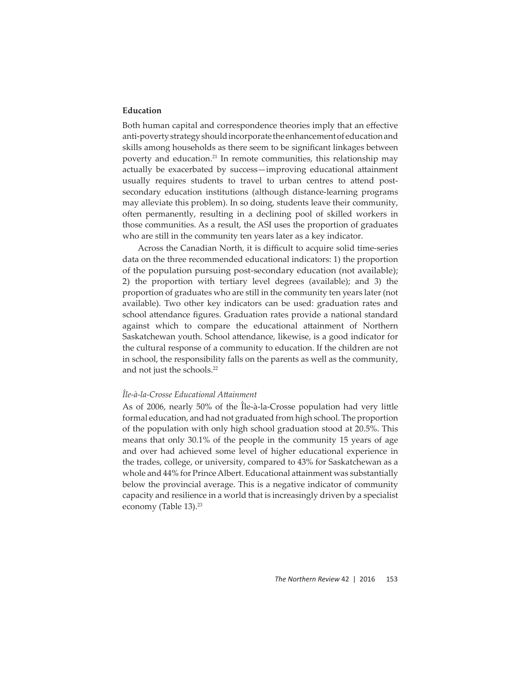## **Education**

Both human capital and correspondence theories imply that an effective anti-poverty strategy should incorporate the enhancement of education and skills among households as there seem to be significant linkages between poverty and education.<sup>21</sup> In remote communities, this relationship may actually be exacerbated by success-improving educational attainment usually requires students to travel to urban centres to attend postsecondary education institutions (although distance-learning programs may alleviate this problem). In so doing, students leave their community, often permanently, resulting in a declining pool of skilled workers in those communities. As a result, the ASI uses the proportion of graduates who are still in the community ten years later as a key indicator.

Across the Canadian North, it is difficult to acquire solid time-series data on the three recommended educational indicators: 1) the proportion of the population pursuing post-secondary education (not available); 2) the proportion with tertiary level degrees (available); and 3) the proportion of graduates who are still in the community ten years later (not available). Two other key indicators can be used: graduation rates and school attendance figures. Graduation rates provide a national standard against which to compare the educational attainment of Northern Saskatchewan youth. School attendance, likewise, is a good indicator for the cultural response of a community to education. If the children are not in school, the responsibility falls on the parents as well as the community, and not just the schools.<sup>22</sup>

#### *Île-à-la-Crosse Educational Att ainment*

As of 2006, nearly 50% of the Île-à-la-Crosse population had very little formal education, and had not graduated from high school. The proportion of the population with only high school graduation stood at 20.5%. This means that only 30.1% of the people in the community 15 years of age and over had achieved some level of higher educational experience in the trades, college, or university, compared to 43% for Saskatchewan as a whole and 44% for Prince Albert. Educational attainment was substantially below the provincial average. This is a negative indicator of community capacity and resilience in a world that is increasingly driven by a specialist economy (Table 13).<sup>23</sup>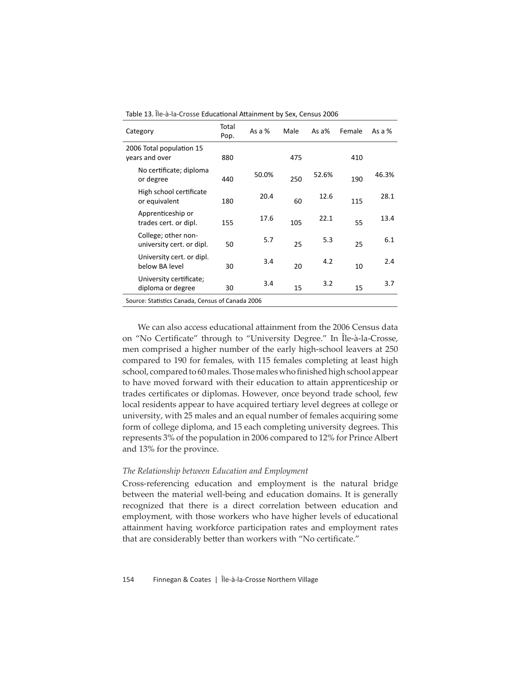| Category                                         | Total<br>Pop. | As a $%$ | Male | As $a\%$ | Female | As a $%$ |
|--------------------------------------------------|---------------|----------|------|----------|--------|----------|
| 2006 Total population 15<br>years and over       | 880           |          | 475  |          | 410    |          |
| No certificate; diploma<br>or degree             | 440           | 50.0%    | 250  | 52.6%    | 190    | 46.3%    |
| High school certificate<br>or equivalent         | 180           | 20.4     | 60   | 12.6     | 115    | 28.1     |
| Apprenticeship or<br>trades cert. or dipl.       | 155           | 17.6     | 105  | 22.1     | 55     | 13.4     |
| College; other non-<br>university cert. or dipl. | 50            | 5.7      | 25   | 5.3      | 25     | 6.1      |
| University cert. or dipl.<br>below BA level      | 30            | 3.4      | 20   | 4.2      | 10     | 2.4      |
| University certificate;<br>diploma or degree     | 30            | 3.4      | 15   | 3.2      | 15     | 3.7      |
| Source: Statistics Canada, Census of Canada 2006 |               |          |      |          |        |          |

Table 13. Île-à-la-Crosse Educational Attainment by Sex, Census 2006

We can also access educational attainment from the 2006 Census data on "No Certificate" through to "University Degree." In Île-à-la-Crosse, men comprised a higher number of the early high-school leavers at 250 compared to 190 for females, with 115 females completing at least high school, compared to 60 males. Those males who finished high school appear to have moved forward with their education to attain apprenticeship or trades certificates or diplomas. However, once beyond trade school, few local residents appear to have acquired tertiary level degrees at college or university, with 25 males and an equal number of females acquiring some form of college diploma, and 15 each completing university degrees. This represents 3% of the population in 2006 compared to 12% for Prince Albert and 13% for the province.

## *The Relationship between Education and Employment*

Cross-referencing education and employment is the natural bridge between the material well-being and education domains. It is generally recognized that there is a direct correlation between education and employment, with those workers who have higher levels of educational attainment having workforce participation rates and employment rates that are considerably better than workers with "No certificate."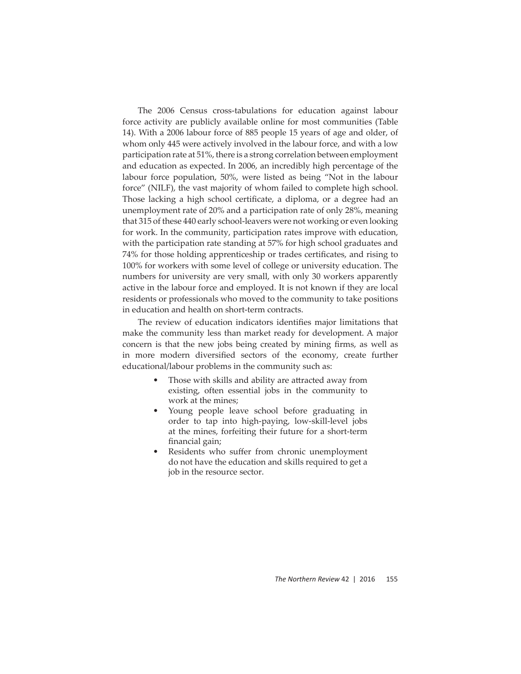The 2006 Census cross-tabulations for education against labour force activity are publicly available online for most communities (Table 14). With a 2006 labour force of 885 people 15 years of age and older, of whom only 445 were actively involved in the labour force, and with a low participation rate at 51%, there is a strong correlation between employment and education as expected. In 2006, an incredibly high percentage of the labour force population, 50%, were listed as being "Not in the labour force" (NILF), the vast majority of whom failed to complete high school. Those lacking a high school certificate, a diploma, or a degree had an unemployment rate of 20% and a participation rate of only 28%, meaning that 315 of these 440 early school-leavers were not working or even looking for work. In the community, participation rates improve with education, with the participation rate standing at 57% for high school graduates and 74% for those holding apprenticeship or trades certificates, and rising to 100% for workers with some level of college or university education. The numbers for university are very small, with only 30 workers apparently active in the labour force and employed. It is not known if they are local residents or professionals who moved to the community to take positions in education and health on short-term contracts.

The review of education indicators identifies major limitations that make the community less than market ready for development. A major concern is that the new jobs being created by mining firms, as well as in more modern diversified sectors of the economy, create further educational/labour problems in the community such as:

- Those with skills and ability are attracted away from existing, often essential jobs in the community to work at the mines;
- Young people leave school before graduating in order to tap into high-paying, low-skill-level jobs at the mines, forfeiting their future for a short-term financial gain;
- Residents who suffer from chronic unemployment do not have the education and skills required to get a job in the resource sector.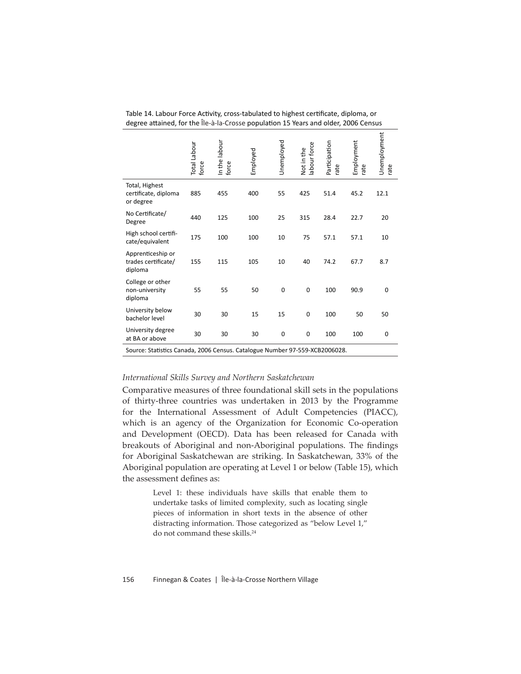|                                                                             | <b>Total Labour</b><br>force | In the labour<br>force | Employed | Unemployed  | abour force<br>Not in the | Participation<br>rate | Employment<br>rate | Unemployment<br>rate |
|-----------------------------------------------------------------------------|------------------------------|------------------------|----------|-------------|---------------------------|-----------------------|--------------------|----------------------|
| Total, Highest<br>certificate, diploma<br>or degree                         | 885                          | 455                    | 400      | 55          | 425                       | 51.4                  | 45.2               | 12.1                 |
| No Certificate/<br>Degree                                                   | 440                          | 125                    | 100      | 25          | 315                       | 28.4                  | 22.7               | 20                   |
| High school certifi-<br>cate/equivalent                                     | 175                          | 100                    | 100      | 10          | 75                        | 57.1                  | 57.1               | 10                   |
| Apprenticeship or<br>trades certificate/<br>diploma                         | 155                          | 115                    | 105      | 10          | 40                        | 74.2                  | 67.7               | 8.7                  |
| College or other<br>non-university<br>diploma                               | 55                           | 55                     | 50       | 0           | $\pmb{0}$                 | 100                   | 90.9               | 0                    |
| University below<br>bachelor level                                          | 30                           | 30                     | 15       | 15          | $\pmb{0}$                 | 100                   | 50                 | 50                   |
| University degree<br>at BA or above                                         | 30                           | 30                     | 30       | $\mathbf 0$ | $\mathbf 0$               | 100                   | 100                | 0                    |
| Source: Statistics Canada, 2006 Census. Catalogue Number 97-559-XCB2006028. |                              |                        |          |             |                           |                       |                    |                      |

Table 14. Labour Force Activity, cross-tabulated to highest certificate, diploma, or degree attained, for the Île-à-la-Crosse population 15 Years and older, 2006 Census

## *International Skills Survey and Northern Saskatchewan*

Comparative measures of three foundational skill sets in the populations of thirty-three countries was undertaken in 2013 by the Programme for the International Assessment of Adult Competencies (PIACC), which is an agency of the Organization for Economic Co-operation and Development (OECD). Data has been released for Canada with breakouts of Aboriginal and non-Aboriginal populations. The findings for Aboriginal Saskatchewan are striking. In Saskatchewan, 33% of the Aboriginal population are operating at Level 1 or below (Table 15), which the assessment defines as:

> Level 1: these individuals have skills that enable them to undertake tasks of limited complexity, such as locating single pieces of information in short texts in the absence of other distracting information. Those categorized as "below Level 1," do not command these skills.<sup>24</sup>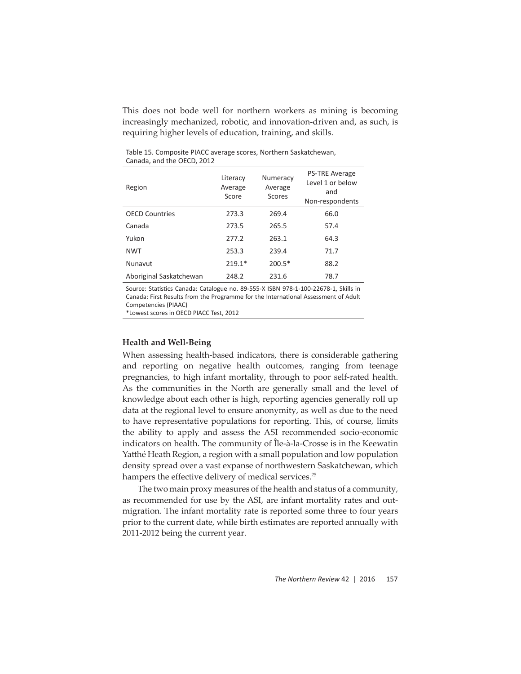This does not bode well for northern workers as mining is becoming increasingly mechanized, robotic, and innovation-driven and, as such, is requiring higher levels of education, training, and skills.

| Region                  | Literacy<br>Average<br>Score | Numeracy<br>Average<br>Scores | <b>PS-TRE Average</b><br>Level 1 or below<br>and<br>Non-respondents |
|-------------------------|------------------------------|-------------------------------|---------------------------------------------------------------------|
| <b>OECD Countries</b>   | 273.3                        | 269.4                         | 66.0                                                                |
| Canada                  | 273.5                        | 265.5                         | 57.4                                                                |
| Yukon                   | 277.2                        | 263.1                         | 64.3                                                                |
| <b>NWT</b>              | 253.3                        | 239.4                         | 71.7                                                                |
| Nunavut                 | $219.1*$                     | $200.5*$                      | 88.2                                                                |
| Aboriginal Saskatchewan | 248.2                        | 231.6                         | 78.7                                                                |

Table 15. Composite PIACC average scores, Northern Saskatchewan, Canada, and the OECD, 2012

Source: Statistics Canada: Catalogue no. 89-555-X ISBN 978-1-100-22678-1, Skills in Canada: First Results from the Programme for the International Assessment of Adult Competencies (PIAAC)

\*Lowest scores in OECD PIACC Test, 2012

#### **Health and Well-Being**

When assessing health-based indicators, there is considerable gathering and reporting on negative health outcomes, ranging from teenage pregnancies, to high infant mortality, through to poor self-rated health. As the communities in the North are generally small and the level of knowledge about each other is high, reporting agencies generally roll up data at the regional level to ensure anonymity, as well as due to the need to have representative populations for reporting. This, of course, limits the ability to apply and assess the ASI recommended socio-economic indicators on health. The community of Île-à-la-Crosse is in the Keewatin Yatthé Heath Region, a region with a small population and low population density spread over a vast expanse of northwestern Saskatchewan, which hampers the effective delivery of medical services.<sup>25</sup>

The two main proxy measures of the health and status of a community, as recommended for use by the ASI, are infant mortality rates and outmigration. The infant mortality rate is reported some three to four years prior to the current date, while birth estimates are reported annually with 2011-2012 being the current year.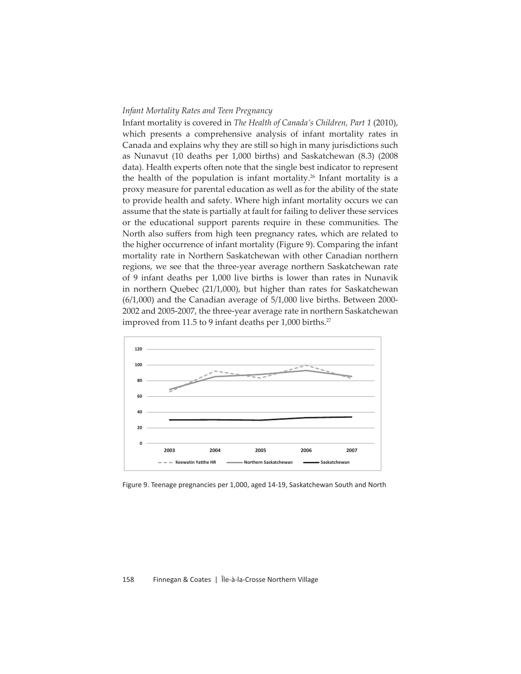## *Infant Mortality Rates and Teen Pregnancy*

Infant mortality is covered in *The Health of Canada's Children, Part 1* (2010), which presents a comprehensive analysis of infant mortality rates in Canada and explains why they are still so high in many jurisdictions such as Nunavut (10 deaths per 1,000 births) and Saskatchewan (8.3) (2008 data). Health experts often note that the single best indicator to represent the health of the population is infant mortality.<sup>26</sup> Infant mortality is a proxy measure for parental education as well as for the ability of the state to provide health and safety. Where high infant mortality occurs we can assume that the state is partially at fault for failing to deliver these services or the educational support parents require in these communities. The North also suffers from high teen pregnancy rates, which are related to the higher occurrence of infant mortality (Figure 9). Comparing the infant mortality rate in Northern Saskatchewan with other Canadian northern regions, we see that the three-year average northern Saskatchewan rate of 9 infant deaths per 1,000 live births is lower than rates in Nunavik in northern Quebec (21/1,000), but higher than rates for Saskatchewan (6/1,000) and the Canadian average of 5/1,000 live births. Between 2000- 2002 and 2005-2007, the three-year average rate in northern Saskatchewan improved from 11.5 to 9 infant deaths per 1,000 births.<sup>27</sup>



Figure 9. Teenage pregnancies per 1,000, aged 14-19, Saskatchewan South and North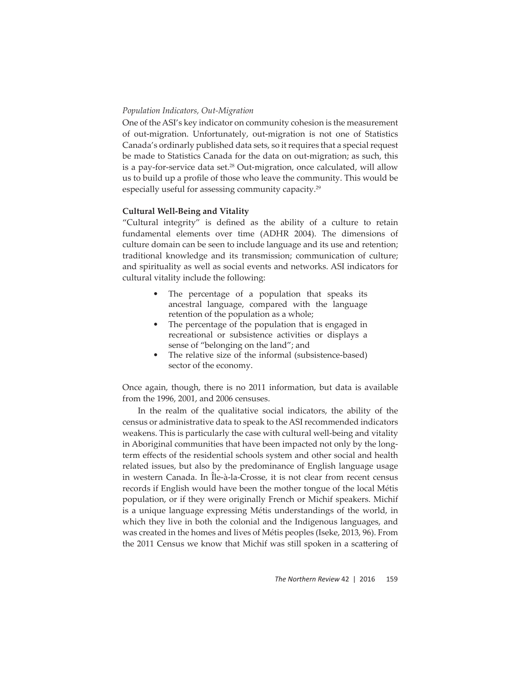## *Population Indicators, Out-Migration*

One of the ASI's key indicator on community cohesion is the measurement of out-migration. Unfortunately, out-migration is not one of Statistics Canada's ordinarly published data sets, so it requires that a special request be made to Statistics Canada for the data on out-migration; as such, this is a pay-for-service data set.<sup>28</sup> Out-migration, once calculated, will allow us to build up a profile of those who leave the community. This would be especially useful for assessing community capacity.<sup>29</sup>

## **Cultural Well-Being and Vitality**

"Cultural integrity" is defined as the ability of a culture to retain fundamental elements over time (ADHR 2004). The dimensions of culture domain can be seen to include language and its use and retention; traditional knowledge and its transmission; communication of culture; and spirituality as well as social events and networks. ASI indicators for cultural vitality include the following:

- The percentage of a population that speaks its ancestral language, compared with the language retention of the population as a whole;
- The percentage of the population that is engaged in recreational or subsistence activities or displays a sense of "belonging on the land"; and
- The relative size of the informal (subsistence-based) sector of the economy.

Once again, though, there is no 2011 information, but data is available from the 1996, 2001, and 2006 censuses.

In the realm of the qualitative social indicators, the ability of the census or administrative data to speak to the ASI recommended indicators weakens. This is particularly the case with cultural well-being and vitality in Aboriginal communities that have been impacted not only by the longterm effects of the residential schools system and other social and health related issues, but also by the predominance of English language usage in western Canada. In Île-à-la-Crosse, it is not clear from recent census records if English would have been the mother tongue of the local Métis population, or if they were originally French or Michif speakers. Michif is a unique language expressing Métis understandings of the world, in which they live in both the colonial and the Indigenous languages, and was created in the homes and lives of Métis peoples (Iseke, 2013, 96). From the 2011 Census we know that Michif was still spoken in a scattering of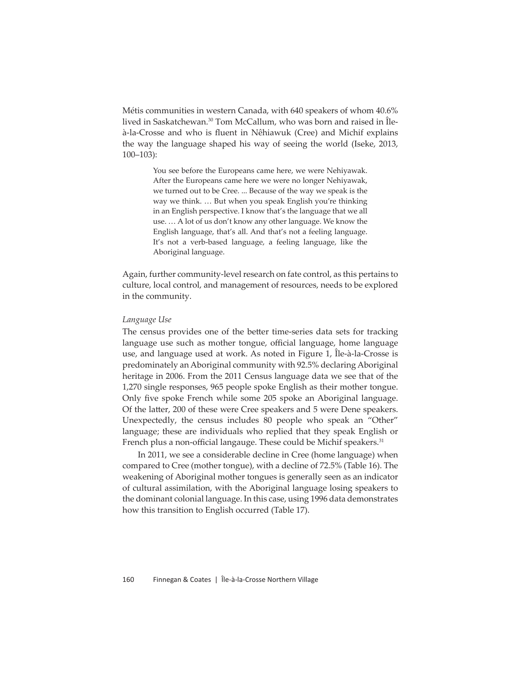Métis communities in western Canada, with 640 speakers of whom 40.6% lived in Saskatchewan.<sup>30</sup> Tom McCallum, who was born and raised in Îleà-la-Crosse and who is fluent in Nêhiawuk (Cree) and Michif explains the way the language shaped his way of seeing the world (Iseke, 2013, 100–103):

> You see before the Europeans came here, we were Nehiyawak. After the Europeans came here we were no longer Nehiyawak, we turned out to be Cree. ... Because of the way we speak is the way we think. … But when you speak English you're thinking in an English perspective. I know that's the language that we all use. … A lot of us don't know any other language. We know the English language, that's all. And that's not a feeling language. It's not a verb-based language, a feeling language, like the Aboriginal language.

Again, further community-level research on fate control, as this pertains to culture, local control, and management of resources, needs to be explored in the community.

#### *Language Use*

The census provides one of the better time-series data sets for tracking language use such as mother tongue, official language, home language use, and language used at work. As noted in Figure 1,Île-à-la-Crosse is predominately an Aboriginal community with 92.5% declaring Aboriginal heritage in 2006. From the 2011 Census language data we see that of the 1,270 single responses, 965 people spoke English as their mother tongue. Only five spoke French while some 205 spoke an Aboriginal language. Of the latter, 200 of these were Cree speakers and 5 were Dene speakers. Unexpectedly, the census includes 80 people who speak an "Other" language; these are individuals who replied that they speak English or French plus a non-official langauge. These could be Michif speakers.<sup>31</sup>

In 2011, we see a considerable decline in Cree (home language) when compared to Cree (mother tongue), with a decline of 72.5% (Table 16). The weakening of Aboriginal mother tongues is generally seen as an indicator of cultural assimilation, with the Aboriginal language losing speakers to the dominant colonial language. In this case, using 1996 data demonstrates how this transition to English occurred (Table 17).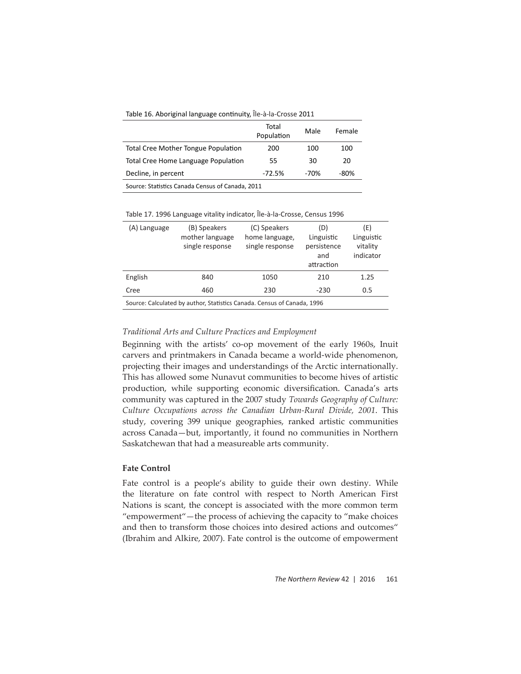| Table 16. Aboriginal language continuity, Île-à-la-Crosse 2011 |  |
|----------------------------------------------------------------|--|
|----------------------------------------------------------------|--|

|                                                  | Total<br>Population | Male | Female |  |  |  |
|--------------------------------------------------|---------------------|------|--------|--|--|--|
| <b>Total Cree Mother Tongue Population</b>       | 200                 | 100  | 100    |  |  |  |
| Total Cree Home Language Population              | 55                  | 30   | 20     |  |  |  |
| Decline, in percent                              | $-72.5%$            | -70% | -80%   |  |  |  |
| Source: Statistics Canada Census of Canada, 2011 |                     |      |        |  |  |  |

| Table 17. 1996 Language vitality indicator, Île-à-la-Crosse, Census 1996 |  |
|--------------------------------------------------------------------------|--|
|--------------------------------------------------------------------------|--|

| (A) Language                                                            | (B) Speakers<br>mother language<br>single response | (C) Speakers<br>home language,<br>single response | (D)<br>Linguistic<br>persistence<br>and<br>attraction | (E)<br>Linguistic<br>vitality<br>indicator |  |  |  |
|-------------------------------------------------------------------------|----------------------------------------------------|---------------------------------------------------|-------------------------------------------------------|--------------------------------------------|--|--|--|
| English                                                                 | 840                                                | 1050                                              | 210                                                   | 1.25                                       |  |  |  |
| Cree                                                                    | 460                                                | 230                                               | $-230$                                                | 0.5                                        |  |  |  |
| Source: Calculated by author, Statistics Canada. Census of Canada, 1996 |                                                    |                                                   |                                                       |                                            |  |  |  |

#### *Traditional Arts and Culture Practices and Employment*

Beginning with the artists' co-op movement of the early 1960s, Inuit carvers and printmakers in Canada became a world-wide phenomenon, projecting their images and understandings of the Arctic internationally. This has allowed some Nunavut communities to become hives of artistic production, while supporting economic diversification. Canada's arts community was captured in the 2007 study *Towards Geography of Culture: Culture Occupations across the Canadian Urban-Rural Divide, 2001*. This study, covering 399 unique geographies, ranked artistic communities across Canada—but, importantly, it found no communities in Northern Saskatchewan that had a measureable arts community.

## **Fate Control**

Fate control is a people's ability to guide their own destiny. While the literature on fate control with respect to North American First Nations is scant, the concept is associated with the more common term "empowerment"—the process of achieving the capacity to "make choices and then to transform those choices into desired actions and outcomes" (Ibrahim and Alkire, 2007). Fate control is the outcome of empowerment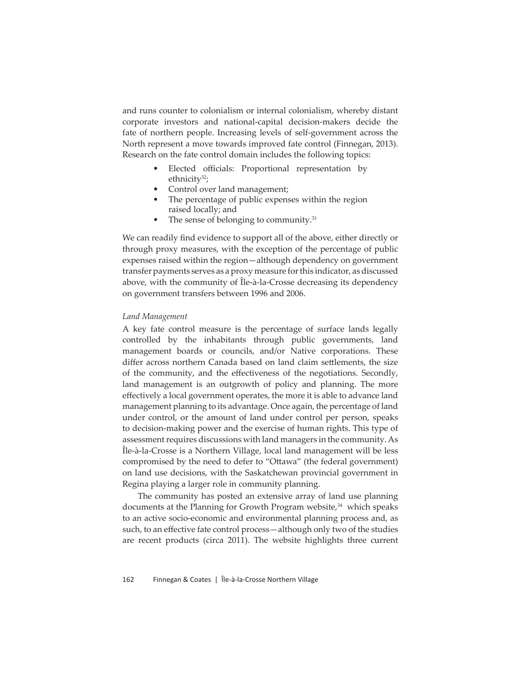and runs counter to colonialism or internal colonialism, whereby distant corporate investors and national-capital decision-makers decide the fate of northern people. Increasing levels of self-government across the North represent a move towards improved fate control (Finnegan, 2013). Research on the fate control domain includes the following topics:

- Elected officials: Proportional representation by ethnicity $32$ ;
- Control over land management;
- The percentage of public expenses within the region raised locally; and
- The sense of belonging to community.<sup>33</sup>

We can readily find evidence to support all of the above, either directly or through proxy measures, with the exception of the percentage of public expenses raised within the region—although dependency on government transfer payments serves as a proxy measure for this indicator, as discussed above, with the community of Île-à-la-Crosse decreasing its dependency on government transfers between 1996 and 2006.

#### *Land Management*

A key fate control measure is the percentage of surface lands legally controlled by the inhabitants through public governments, land management boards or councils, and/or Native corporations. These differ across northern Canada based on land claim settlements, the size of the community, and the effectiveness of the negotiations. Secondly, land management is an outgrowth of policy and planning. The more effectively a local government operates, the more it is able to advance land management planning to its advantage. Once again, the percentage of land under control, or the amount of land under control per person, speaks to decision-making power and the exercise of human rights. This type of assessment requires discussions with land managers in the community. As Île-à-la-Crosse is a Northern Village, local land management will be less compromised by the need to defer to "Ottawa" (the federal government) on land use decisions, with the Saskatchewan provincial government in Regina playing a larger role in community planning.

The community has posted an extensive array of land use planning documents at the Planning for Growth Program website, $34$  which speaks to an active socio-economic and environmental planning process and, as such, to an effective fate control process - although only two of the studies are recent products (circa 2011). The website highlights three current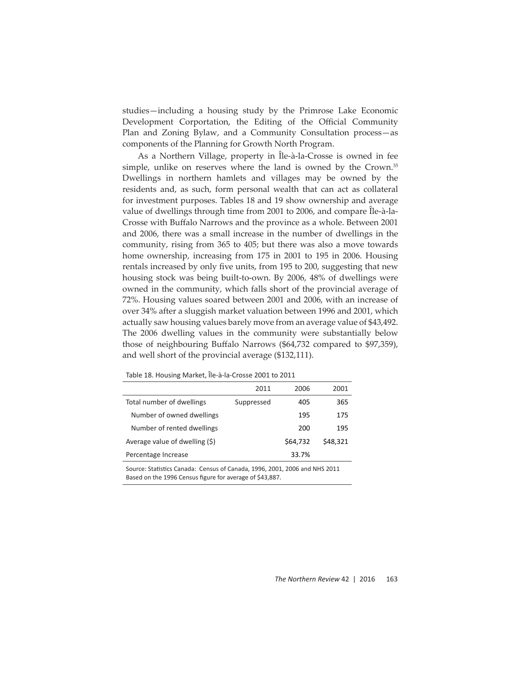studies—including a housing study by the Primrose Lake Economic Development Corportation, the Editing of the Official Community Plan and Zoning Bylaw, and a Community Consultation process—as components of the Planning for Growth North Program.

As a Northern Village, property in Île-à-la-Crosse is owned in fee simple, unlike on reserves where the land is owned by the Crown.<sup>35</sup> Dwellings in northern hamlets and villages may be owned by the residents and, as such, form personal wealth that can act as collateral for investment purposes. Tables 18 and 19 show ownership and average value of dwellings through time from 2001 to 2006, and compare Île-à-la-Crosse with Buffalo Narrows and the province as a whole. Between 2001 and 2006, there was a small increase in the number of dwellings in the community, rising from 365 to 405; but there was also a move towards home ownership, increasing from 175 in 2001 to 195 in 2006. Housing rentals increased by only five units, from 195 to 200, suggesting that new housing stock was being built-to-own. By 2006, 48% of dwellings were owned in the community, which falls short of the provincial average of 72%. Housing values soared between 2001 and 2006, with an increase of over 34% after a sluggish market valuation between 1996 and 2001, which actually saw housing values barely move from an average value of \$43,492. The 2006 dwelling values in the community were substantially below those of neighbouring Buffalo Narrows (\$64,732 compared to \$97,359), and well short of the provincial average (\$132,111).

|                                                                                                                                        | 2011       | 2006     | 2001     |  |  |  |
|----------------------------------------------------------------------------------------------------------------------------------------|------------|----------|----------|--|--|--|
| Total number of dwellings                                                                                                              | Suppressed | 405      | 365      |  |  |  |
| Number of owned dwellings                                                                                                              |            | 195      | 175      |  |  |  |
| Number of rented dwellings                                                                                                             |            | 200      | 195      |  |  |  |
| Average value of dwelling (\$)                                                                                                         |            | \$64.732 | \$48.321 |  |  |  |
| Percentage Increase                                                                                                                    |            | 33.7%    |          |  |  |  |
| Source: Statistics Canada: Census of Canada, 1996, 2001, 2006 and NHS 2011<br>Based on the 1996 Census figure for average of \$43,887. |            |          |          |  |  |  |

Table 18. Housing Market, Île-à-la-Crosse 2001 to 2011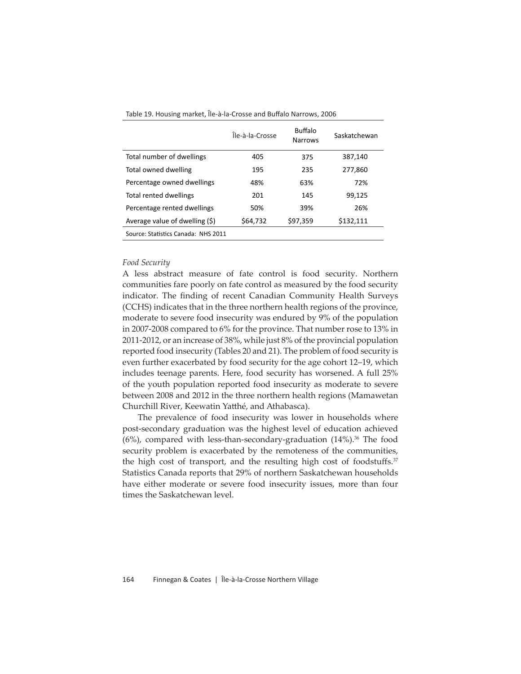|                                     | Île-à-la-Crosse | <b>Buffalo</b><br><b>Narrows</b> | Saskatchewan |
|-------------------------------------|-----------------|----------------------------------|--------------|
| Total number of dwellings           | 405             | 375                              | 387,140      |
| Total owned dwelling                | 195             | 235                              | 277,860      |
| Percentage owned dwellings          | 48%             | 63%                              | 72%          |
| Total rented dwellings              | 201             | 145                              | 99,125       |
| Percentage rented dwellings         | 50%             | 39%                              | 26%          |
| Average value of dwelling (\$)      | \$64,732        | \$97,359                         | \$132,111    |
| Source: Statistics Canada: NHS 2011 |                 |                                  |              |

Table 19. Housing market, Île-à-la-Crosse and Buffalo Narrows, 2006

## *Food Security*

A less abstract measure of fate control is food security. Northern communities fare poorly on fate control as measured by the food security indicator. The finding of recent Canadian Community Health Surveys (CCHS) indicates that in the three northern health regions of the province, moderate to severe food insecurity was endured by 9% of the population in 2007-2008 compared to 6% for the province. That number rose to 13% in 2011-2012, or an increase of 38%, while just 8% of the provincial population reported food insecurity (Tables 20 and 21). The problem of food security is even further exacerbated by food security for the age cohort 12–19, which includes teenage parents. Here, food security has worsened. A full 25% of the youth population reported food insecurity as moderate to severe between 2008 and 2012 in the three northern health regions (Mamawetan Churchill River, Keewatin Yatthé, and Athabasca).

The prevalence of food insecurity was lower in households where post-secondary graduation was the highest level of education achieved  $(6%)$ , compared with less-than-secondary-graduation  $(14%)$ .<sup>36</sup> The food security problem is exacerbated by the remoteness of the communities, the high cost of transport, and the resulting high cost of foodstuffs. $37$ Statistics Canada reports that 29% of northern Saskatchewan households have either moderate or severe food insecurity issues, more than four times the Saskatchewan level.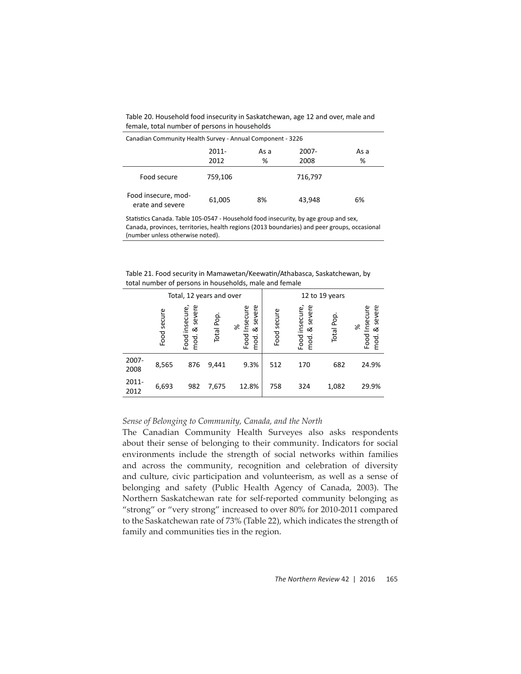Table 20. Household food insecurity in Saskatchewan, age 12 and over, male and female, total number of persons in households

| Canadian Community Health Survey - Annual Component - 3226 |          |      |         |      |  |  |  |
|------------------------------------------------------------|----------|------|---------|------|--|--|--|
|                                                            | $2011 -$ | As a | 2007-   | As a |  |  |  |
|                                                            | 2012     | %    | 2008    | %    |  |  |  |
| Food secure                                                | 759,106  |      | 716,797 |      |  |  |  |
| Food insecure, mod-<br>erate and severe                    | 61,005   | 8%   | 43.948  | 6%   |  |  |  |

Statistics Canada. Table 105-0547 - Household food insecurity, by age group and sex, Canada, provinces, territories, health regions (2013 boundaries) and peer groups, occasional (number unless otherwise noted).

Table 21. Food security in Mamawetan/Keewatin/Athabasca, Saskatchewan, by total number of persons in households, male and female

| Total, 12 years and over |                |                                          |           |                                              | 12 to 19 years |                                          |              |                                               |
|--------------------------|----------------|------------------------------------------|-----------|----------------------------------------------|----------------|------------------------------------------|--------------|-----------------------------------------------|
|                          | secure<br>Food | severe<br>insecure,<br>ఱ<br>Food<br>mod. | Total Pop | severe<br>Insecure<br>æ<br>ఱ<br>Food<br>mod. | Food secure    | insecure,<br>severe<br>ळ<br>mod.<br>Food | Pop<br>Total | severe<br>Insecure<br>Se<br>∞<br>Food<br>mod. |
| 2007-<br>2008            | 8,565          | 876                                      | 9,441     | 9.3%                                         | 512            | 170                                      | 682          | 24.9%                                         |
| 2011-<br>2012            | 6,693          | 982                                      | 7,675     | 12.8%                                        | 758            | 324                                      | 1,082        | 29.9%                                         |

## *Sense of Belonging to Community, Canada, and the North*

The Canadian Community Health Surveyes also asks respondents about their sense of belonging to their community. Indicators for social environments include the strength of social networks within families and across the community, recognition and celebration of diversity and culture, civic participation and volunteerism, as well as a sense of belonging and safety (Public Health Agency of Canada, 2003). The Northern Saskatchewan rate for self-reported community belonging as "strong" or "very strong" increased to over 80% for 2010-2011 compared to the Saskatchewan rate of 73% (Table 22), which indicates the strength of family and communities ties in the region.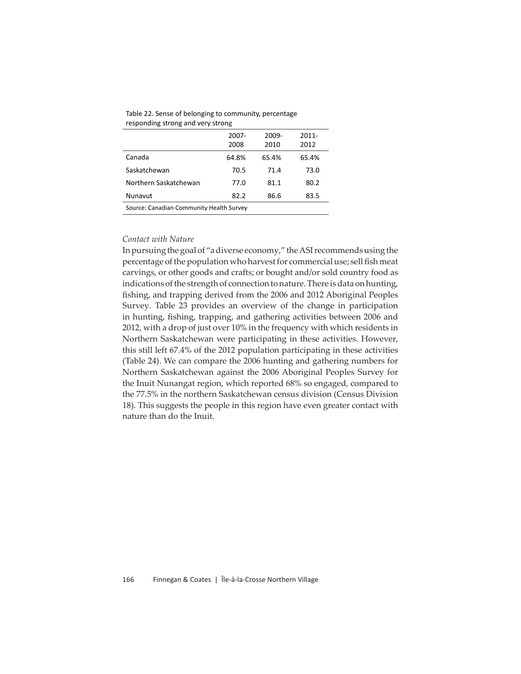| <b>I</b> coponality strong and very strong |               |               |                  |  |  |  |
|--------------------------------------------|---------------|---------------|------------------|--|--|--|
|                                            | 2007-<br>2008 | 2009-<br>2010 | $2011 -$<br>2012 |  |  |  |
| Canada                                     | 64.8%         | 65.4%         | 65.4%            |  |  |  |
| Saskatchewan                               | 70.5          | 71.4          | 73.0             |  |  |  |
| Northern Saskatchewan                      | 77.0          | 81.1          | 80.2             |  |  |  |
| Nunavut                                    | 82.2          | 86.6          | 83.5             |  |  |  |
| Source: Canadian Community Health Survey   |               |               |                  |  |  |  |

Table 22 . Sense of belonging to community, percentage responding strong and very strong

## *Contact with Nature*

In pursuing the goal of "a diverse economy," the ASI recommends using the percentage of the population who harvest for commercial use; sell fish meat carvings, or other goods and crafts; or bought and/or sold country food as indications of the strength of connection to nature. There is data on hunting, fishing, and trapping derived from the 2006 and 2012 Aboriginal Peoples Survey. Table 23 provides an overview of the change in participation in hunting, fishing, trapping, and gathering activities between 2006 and 2012, with a drop of just over 10% in the frequency with which residents in Northern Saskatchewan were participating in these activities. However, this still left 67.4% of the 2012 population participating in these activities (Table 24). We can compare the 2006 hunting and gathering numbers for Northern Saskatchewan against the 2006 Aboriginal Peoples Survey for the Inuit Nunangat region, which reported 68% so engaged, compared to the 77.5% in the northern Saskatchewan census division (Census Division 18). This suggests the people in this region have even greater contact with nature than do the Inuit.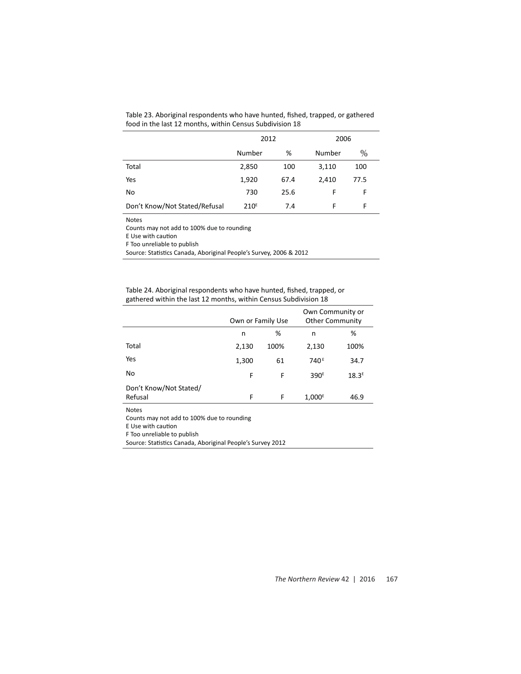|                               | 2012             |      | 2006   |      |  |
|-------------------------------|------------------|------|--------|------|--|
|                               | Number           | %    | Number | $\%$ |  |
| Total                         | 2,850            | 100  | 3,110  | 100  |  |
| Yes                           | 1,920            | 67.4 | 2,410  | 77.5 |  |
| No                            | 730              | 25.6 | F      | F    |  |
| Don't Know/Not Stated/Refusal | 210 <sup>E</sup> | 7.4  | F      | F    |  |

Table 23. Aboriginal respondents who have hunted, fished, trapped, or gathered food in the last 12 months, within Census Subdivision 18

Notes

Counts may not add to 100% due to rounding

E Use with caution

F Too unreliable to publish

Source: Statistics Canada, Aboriginal People's Survey, 2006 & 2012

Table 24. Aboriginal respondents who have hunted, fished, trapped, or gathered within the last 12 months, within Census Subdivision 18

|                                   |       | Own or Family Use |                  | Own Community or<br><b>Other Community</b> |  |
|-----------------------------------|-------|-------------------|------------------|--------------------------------------------|--|
|                                   | n     | %                 | n                | %                                          |  |
| Total                             | 2,130 | 100%              | 2,130            | 100%                                       |  |
| Yes                               | 1,300 | 61                | 740 <sup>E</sup> | 34.7                                       |  |
| No                                | F     | F                 | 390 <sup>E</sup> | 18.3 <sup>E</sup>                          |  |
| Don't Know/Not Stated/<br>Refusal | F     | F                 | $1,000^E$        | 46.9                                       |  |
| <b>Notes</b>                      |       |                   |                  |                                            |  |

Counts may not add to 100% due to rounding

E Use with caution

F Too unreliable to publish

Source: Statistics Canada, Aboriginal People's Survey 2012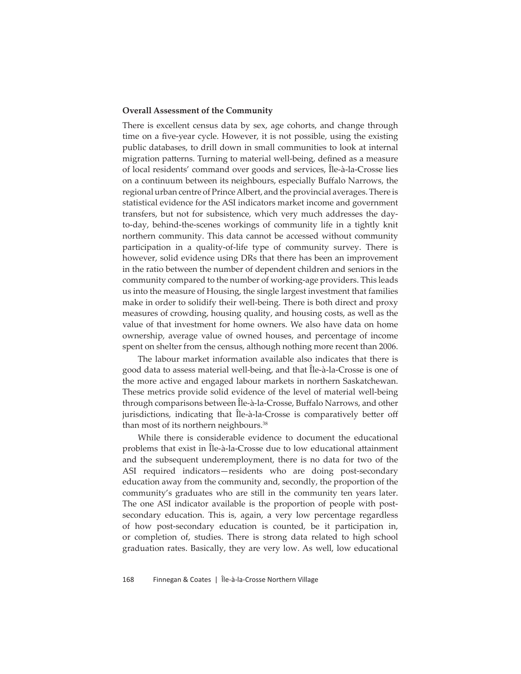## **Overall Assessment of the Community**

There is excellent census data by sex, age cohorts, and change through time on a five-year cycle. However, it is not possible, using the existing public databases, to drill down in small communities to look at internal migration patterns. Turning to material well-being, defined as a measure of local residents' command over goods and services, Île-à-la-Crosse lies on a continuum between its neighbours, especially Buffalo Narrows, the regional urban centre of Prince Albert, and the provincial averages. There is statistical evidence for the ASI indicators market income and government transfers, but not for subsistence, which very much addresses the dayto-day, behind-the-scenes workings of community life in a tightly knit northern community. This data cannot be accessed without community participation in a quality-of-life type of community survey. There is however, solid evidence using DRs that there has been an improvement in the ratio between the number of dependent children and seniors in the community compared to the number of working-age providers. This leads us into the measure of Housing, the single largest investment that families make in order to solidify their well-being. There is both direct and proxy measures of crowding, housing quality, and housing costs, as well as the value of that investment for home owners. We also have data on home ownership, average value of owned houses, and percentage of income spent on shelter from the census, although nothing more recent than 2006.

The labour market information available also indicates that there is good data to assess material well-being, and that Île-à-la-Crosse is one of the more active and engaged labour markets in northern Saskatchewan. These metrics provide solid evidence of the level of material well-being through comparisons between Île-à-la-Crosse, Buffalo Narrows, and other jurisdictions, indicating that Île-à-la-Crosse is comparatively better off than most of its northern neighbours.<sup>38</sup>

While there is considerable evidence to document the educational problems that exist in Île-à-la-Crosse due to low educational attainment and the subsequent underemployment, there is no data for two of the ASI required indicators—residents who are doing post-secondary education away from the community and, secondly, the proportion of the community's graduates who are still in the community ten years later. The one ASI indicator available is the proportion of people with postsecondary education. This is, again, a very low percentage regardless of how post-secondary education is counted, be it participation in, or completion of, studies. There is strong data related to high school graduation rates. Basically, they are very low. As well, low educational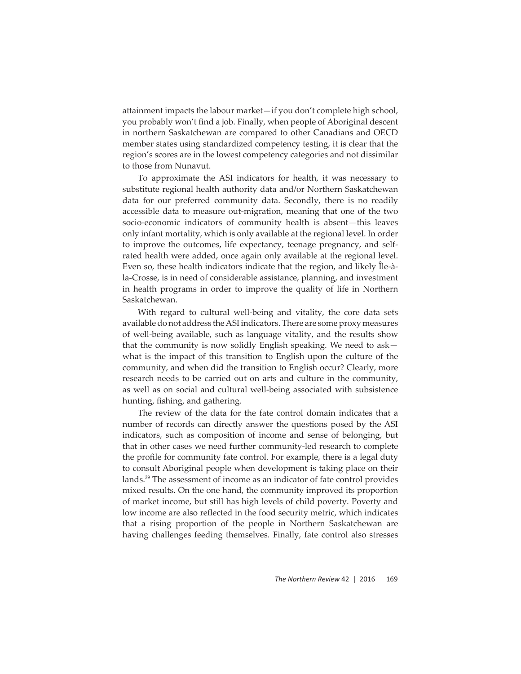attainment impacts the labour market—if you don't complete high school, you probably won't find a job. Finally, when people of Aboriginal descent in northern Saskatchewan are compared to other Canadians and OECD member states using standardized competency testing, it is clear that the region's scores are in the lowest competency categories and not dissimilar to those from Nunavut.

To approximate the ASI indicators for health, it was necessary to substitute regional health authority data and/or Northern Saskatchewan data for our preferred community data. Secondly, there is no readily accessible data to measure out-migration, meaning that one of the two socio-economic indicators of community health is absent—this leaves only infant mortality, which is only available at the regional level. In order to improve the outcomes, life expectancy, teenage pregnancy, and selfrated health were added, once again only available at the regional level. Even so, these health indicators indicate that the region, and likely Île-àla-Crosse, is in need of considerable assistance, planning, and investment in health programs in order to improve the quality of life in Northern Saskatchewan.

With regard to cultural well-being and vitality, the core data sets available do not address the ASI indicators. There are some proxy measures of well-being available, such as language vitality, and the results show that the community is now solidly English speaking. We need to ask what is the impact of this transition to English upon the culture of the community, and when did the transition to English occur? Clearly, more research needs to be carried out on arts and culture in the community, as well as on social and cultural well-being associated with subsistence hunting, fishing, and gathering.

The review of the data for the fate control domain indicates that a number of records can directly answer the questions posed by the ASI indicators, such as composition of income and sense of belonging, but that in other cases we need further community-led research to complete the profile for community fate control. For example, there is a legal duty to consult Aboriginal people when development is taking place on their lands.39 The assessment of income as an indicator of fate control provides mixed results. On the one hand, the community improved its proportion of market income, but still has high levels of child poverty. Poverty and low income are also reflected in the food security metric, which indicates that a rising proportion of the people in Northern Saskatchewan are having challenges feeding themselves. Finally, fate control also stresses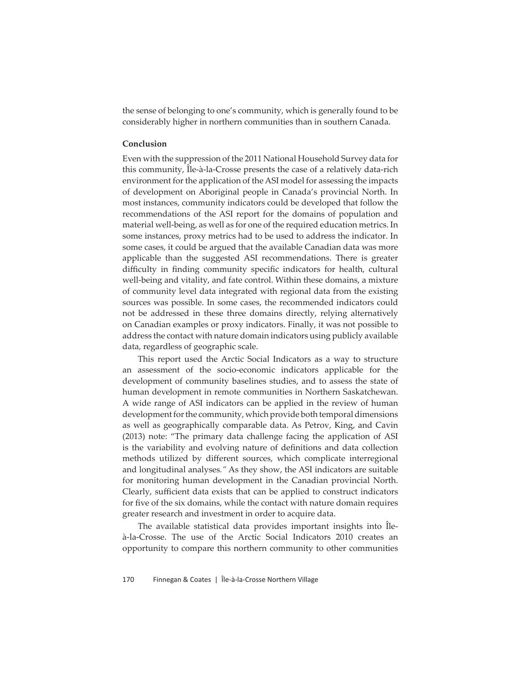the sense of belonging to one's community, which is generally found to be considerably higher in northern communities than in southern Canada.

#### **Conclusion**

Even with the suppression of the 2011 National Household Survey data for this community, Île-à-la-Crosse presents the case of a relatively data-rich environment for the application of the ASI model for assessing the impacts of development on Aboriginal people in Canada's provincial North. In most instances, community indicators could be developed that follow the recommendations of the ASI report for the domains of population and material well-being, as well as for one of the required education metrics. In some instances, proxy metrics had to be used to address the indicator. In some cases, it could be argued that the available Canadian data was more applicable than the suggested ASI recommendations. There is greater difficulty in finding community specific indicators for health, cultural well-being and vitality, and fate control. Within these domains, a mixture of community level data integrated with regional data from the existing sources was possible. In some cases, the recommended indicators could not be addressed in these three domains directly, relying alternatively on Canadian examples or proxy indicators. Finally, it was not possible to address the contact with nature domain indicators using publicly available data, regardless of geographic scale.

This report used the Arctic Social Indicators as a way to structure an assessment of the socio-economic indicators applicable for the development of community baselines studies, and to assess the state of human development in remote communities in Northern Saskatchewan. A wide range of ASI indicators can be applied in the review of human development for the community, which provide both temporal dimensions as well as geographically comparable data. As Petrov, King, and Cavin (2013) note: "The primary data challenge facing the application of ASI is the variability and evolving nature of definitions and data collection methods utilized by different sources, which complicate interregional and longitudinal analyses*."* As they show, the ASI indicators are suitable for monitoring human development in the Canadian provincial North. Clearly, sufficient data exists that can be applied to construct indicators for five of the six domains, while the contact with nature domain requires greater research and investment in order to acquire data.

The available statistical data provides important insights into Îleà-la-Crosse. The use of the Arctic Social Indicators 2010 creates an opportunity to compare this northern community to other communities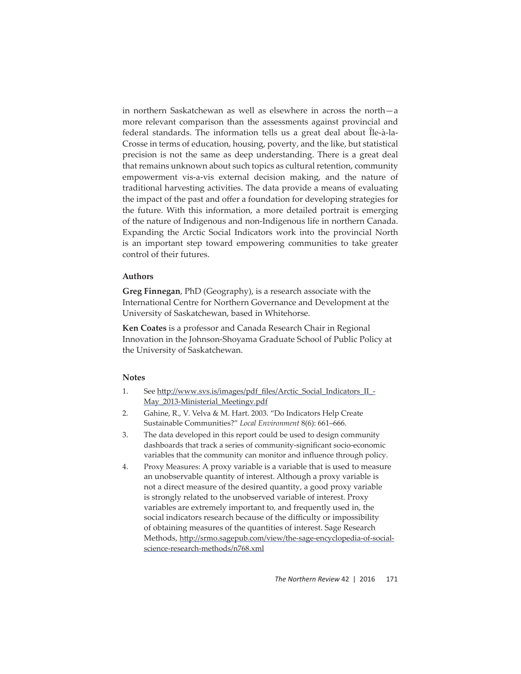in northern Saskatchewan as well as elsewhere in across the north—a more relevant comparison than the assessments against provincial and federal standards. The information tells us a great deal about Île-à-la-Crosse in terms of education, housing, poverty, and the like, but statistical precision is not the same as deep understanding. There is a great deal that remains unknown about such topics as cultural retention, community empowerment vis-a-vis external decision making, and the nature of traditional harvesting activities. The data provide a means of evaluating the impact of the past and offer a foundation for developing strategies for the future. With this information, a more detailed portrait is emerging of the nature of Indigenous and non-Indigenous life in northern Canada. Expanding the Arctic Social Indicators work into the provincial North is an important step toward empowering communities to take greater control of their futures.

## **Authors**

**Greg Finnegan**, PhD (Geography), is a research associate with the International Centre for Northern Governance and Development at the University of Saskatchewan, based in Whitehorse.

**Ken Coates** is a professor and Canada Research Chair in Regional Innovation in the Johnson-Shoyama Graduate School of Public Policy at the University of Saskatchewan.

## **Notes**

- 1. See http://www.svs.is/images/pdf\_files/Arctic\_Social\_Indicators\_II\_-May\_2013-Ministerial\_Meetingv.pdf
- 2. Gahine, R., V. Velva & M. Hart. 2003. "Do Indicators Help Create Sustainable Communities?" *Local Environment* 8(6): 661–666.
- 3. The data developed in this report could be used to design community dashboards that track a series of community-significant socio-economic variables that the community can monitor and influence through policy.
- 4. Proxy Measures: A proxy variable is a variable that is used to measure an unobservable quantity of interest. Although a proxy variable is not a direct measure of the desired quantity, a good proxy variable is strongly related to the unobserved variable of interest. Proxy variables are extremely important to, and frequently used in, the social indicators research because of the difficulty or impossibility of obtaining measures of the quantities of interest. Sage Research Methods, http://srmo.sagepub.com/view/the-sage-encyclopedia-of-socialscience-research-methods/n768.xml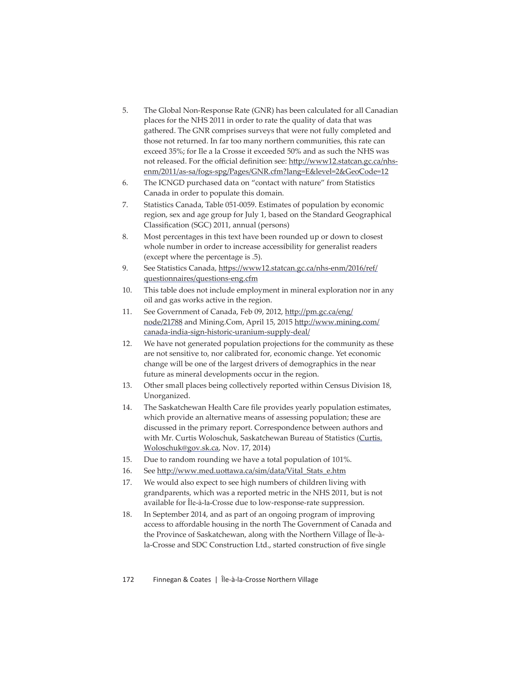- 5. The Global Non-Response Rate (GNR) has been calculated for all Canadian places for the NHS 2011 in order to rate the quality of data that was gathered. The GNR comprises surveys that were not fully completed and those not returned. In far too many northern communities, this rate can exceed 35%; for Ile a la Crosse it exceeded 50% and as such the NHS was not released. For the official definition see: http://www12.statcan.gc.ca/nhsenm/2011/as-sa/fogs-spg/Pages/GNR.cfm?lang=E&level=2&GeoCode=12
- 6. The ICNGD purchased data on "contact with nature" from Statistics Canada in order to populate this domain.
- 7. Statistics Canada, Table 051-0059. Estimates of population by economic region, sex and age group for July 1, based on the Standard Geographical Classification (SGC) 2011, annual (persons)
- 8. Most percentages in this text have been rounded up or down to closest whole number in order to increase accessibility for generalist readers (except where the percentage is .5).
- 9. See Statistics Canada, https://www12.statcan.gc.ca/nhs-enm/2016/ref/ questionnaires/questions-eng.cfm
- 10. This table does not include employment in mineral exploration nor in any oil and gas works active in the region.
- 11. See Government of Canada, Feb 09, 2012, http://pm.gc.ca/eng/ node/21788 and Mining.Com, April 15, 2015 http://www.mining.com/ canada-india-sign-historic-uranium-supply-deal/
- 12. We have not generated population projections for the community as these are not sensitive to, nor calibrated for, economic change. Yet economic change will be one of the largest drivers of demographics in the near future as mineral developments occur in the region.
- 13. Other small places being collectively reported within Census Division 18, Unorganized.
- 14. The Saskatchewan Health Care file provides yearly population estimates, which provide an alternative means of assessing population; these are discussed in the primary report. Correspondence between authors and with Mr. Curtis Woloschuk, Saskatchewan Bureau of Statistics (Curtis. Woloschuk@gov.sk.ca, Nov. 17, 2014)
- 15. Due to random rounding we have a total population of 101%.
- 16. See http://www.med.uottawa.ca/sim/data/Vital\_Stats\_e.htm
- 17. We would also expect to see high numbers of children living with grandparents, which was a reported metric in the NHS 2011, but is not available for Île-à-la-Crosse due to low-response-rate suppression.
- 18. In September 2014, and as part of an ongoing program of improving access to affordable housing in the north The Government of Canada and the Province of Saskatchewan, along with the Northern Village of Île-àla-Crosse and SDC Construction Ltd., started construction of five single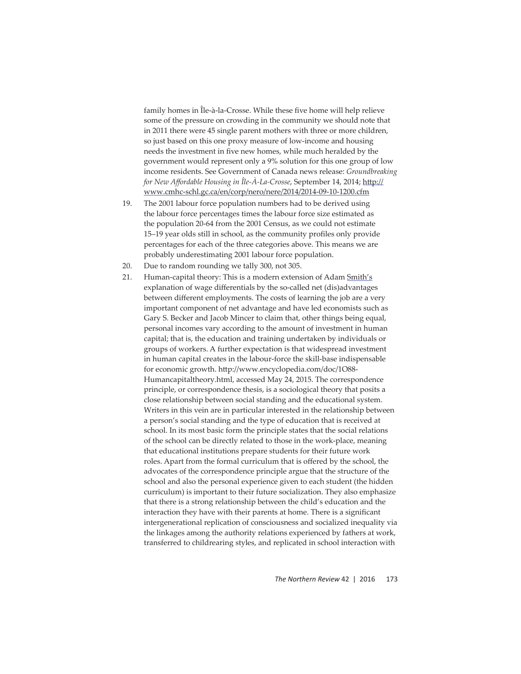family homes in Île-à-la-Crosse. While these five home will help relieve some of the pressure on crowding in the community we should note that in 2011 there were 45 single parent mothers with three or more children, so just based on this one proxy measure of low-income and housing needs the investment in five new homes, while much heralded by the government would represent only a 9% solution for this one group of low income residents. See Government of Canada news release: *Groundbreaking for New Affordable Housing in Île-À-La-Crosse, September 14, 2014; http://* www.cmhc-schl.gc.ca/en/corp/nero/nere/2014/2014-09-10-1200.cfm

- 19. The 2001 labour force population numbers had to be derived using the labour force percentages times the labour force size estimated as the population 20-64 from the 2001 Census, as we could not estimate 15-19 year olds still in school, as the community profiles only provide percentages for each of the three categories above. This means we are probably underestimating 2001 labour force population.
- 20. Due to random rounding we tally 300, not 305.
- 21. Human-capital theory: This is a modern extension of Adam Smith's explanation of wage differentials by the so-called net (dis)advantages between different employments. The costs of learning the job are a very important component of net advantage and have led economists such as Gary S. Becker and Jacob Mincer to claim that, other things being equal, personal incomes vary according to the amount of investment in human capital; that is, the education and training undertaken by individuals or groups of workers. A further expectation is that widespread investment in human capital creates in the labour-force the skill-base indispensable for economic growth. http://www.encyclopedia.com/doc/1O88-Humancapitaltheory.html, accessed May 24, 2015. The correspondence principle, or correspondence thesis, is a sociological theory that posits a close relationship between social standing and the educational system. Writers in this vein are in particular interested in the relationship between a person's social standing and the type of education that is received at school. In its most basic form the principle states that the social relations of the school can be directly related to those in the work-place, meaning that educational institutions prepare students for their future work roles. Apart from the formal curriculum that is offered by the school, the advocates of the correspondence principle argue that the structure of the school and also the personal experience given to each student (the hidden curriculum) is important to their future socialization. They also emphasize that there is a strong relationship between the child's education and the interaction they have with their parents at home. There is a significant intergenerational replication of consciousness and socialized inequality via the linkages among the authority relations experienced by fathers at work, transferred to childrearing styles, and replicated in school interaction with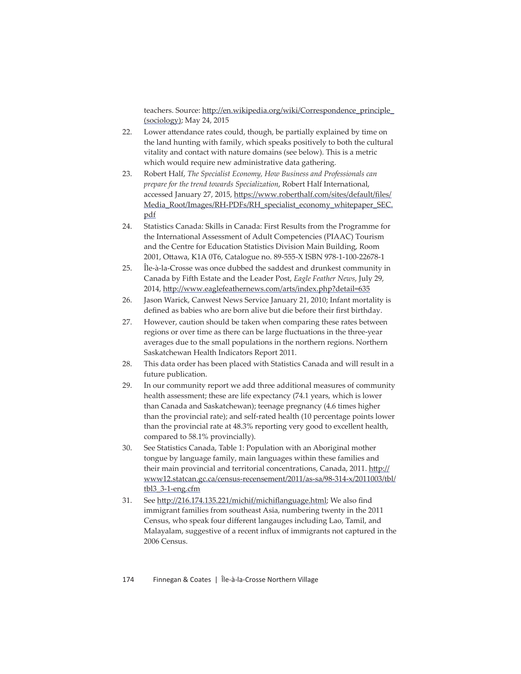teachers. Source: http://en.wikipedia.org/wiki/Correspondence\_principle\_ (sociology); May 24, 2015

- 22. Lower attendance rates could, though, be partially explained by time on the land hunting with family, which speaks positively to both the cultural vitality and contact with nature domains (see below). This is a metric which would require new administrative data gathering.
- 23. Robert Half, *The Specialist Economy, How Business and Professionals can prepare for the trend towards Specialization*, Robert Half International, accessed January 27, 2015, https://www.roberthalf.com/sites/default/files/ Media\_Root/Images/RH-PDFs/RH\_specialist\_economy\_whitepaper\_SEC. pdf
- 24. Statistics Canada: Skills in Canada: First Results from the Programme for the International Assessment of Adult Competencies (PIAAC) Tourism and the Centre for Education Statistics Division Main Building, Room 2001, Ottawa, K1A 0T6, Catalogue no. 89-555-X ISBN 978-1-100-22678-1
- 25. Île-à-la-Crosse was once dubbed the saddest and drunkest community in Canada by Fifth Estate and the Leader Post, *Eagle Feather News*, July 29, 2014, http://www.eaglefeathernews.com/arts/index.php?detail=635
- 26. Jason Warick, Canwest News Service January 21, 2010; Infant mortality is defined as babies who are born alive but die before their first birthday.
- 27. However, caution should be taken when comparing these rates between regions or over time as there can be large fluctuations in the three-year averages due to the small populations in the northern regions. Northern Saskatchewan Health Indicators Report 2011.
- 28. This data order has been placed with Statistics Canada and will result in a future publication.
- 29. In our community report we add three additional measures of community health assessment; these are life expectancy (74.1 years, which is lower than Canada and Saskatchewan); teenage pregnancy (4.6 times higher than the provincial rate); and self-rated health (10 percentage points lower than the provincial rate at 48.3% reporting very good to excellent health, compared to 58.1% provincially).
- 30. See Statistics Canada, Table 1: Population with an Aboriginal mother tongue by language family, main languages within these families and their main provincial and territorial concentrations, Canada, 2011. http:// www12.statcan.gc.ca/census-recensement/2011/as-sa/98-314-x/2011003/tbl/ tbl3\_3-1-eng.cfm
- 31. See http://216.174.135.221/michif/michiflanguage.html; We also find immigrant families from southeast Asia, numbering twenty in the 2011 Census, who speak four different langauges including Lao, Tamil, and Malayalam, suggestive of a recent influx of immigrants not captured in the 2006 Census.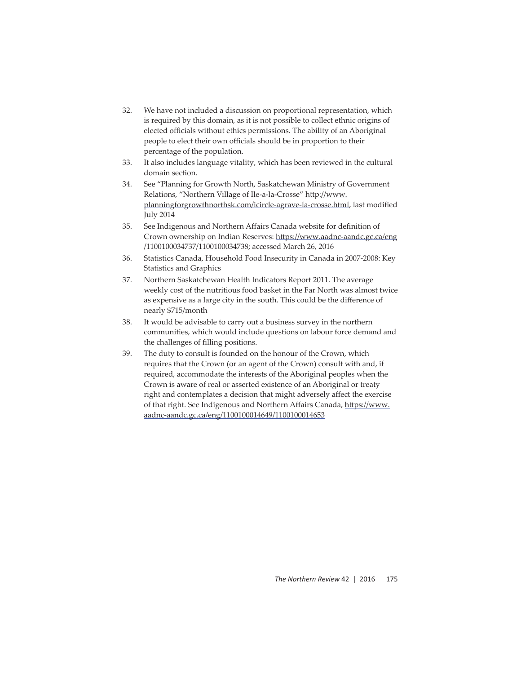- 32. We have not included a discussion on proportional representation, which is required by this domain, as it is not possible to collect ethnic origins of elected officials without ethics permissions. The ability of an Aboriginal people to elect their own officials should be in proportion to their percentage of the population.
- 33. It also includes language vitality, which has been reviewed in the cultural domain section.
- 34. See "Planning for Growth North, Saskatchewan Ministry of Government Relations, "Northern Village of Ile-a-la-Crosse" http://www. planningforgrowthnorthsk.com/icircle-agrave-la-crosse.html, last modified July 2014
- 35. See Indigenous and Northern Affairs Canada website for definition of Crown ownership on Indian Reserves: https://www.aadnc-aandc.gc.ca/eng /1100100034737/1100100034738; accessed March 26, 2016
- 36. Statistics Canada, Household Food Insecurity in Canada in 2007-2008: Key Statistics and Graphics
- 37. Northern Saskatchewan Health Indicators Report 2011. The average weekly cost of the nutritious food basket in the Far North was almost twice as expensive as a large city in the south. This could be the difference of nearly \$715/month
- 38. It would be advisable to carry out a business survey in the northern communities, which would include questions on labour force demand and the challenges of filling positions.
- 39. The duty to consult is founded on the honour of the Crown, which requires that the Crown (or an agent of the Crown) consult with and, if required, accommodate the interests of the Aboriginal peoples when the Crown is aware of real or asserted existence of an Aboriginal or treaty right and contemplates a decision that might adversely affect the exercise of that right. See Indigenous and Northern Affairs Canada, https://www. aadnc-aandc.gc.ca/eng/1100100014649/1100100014653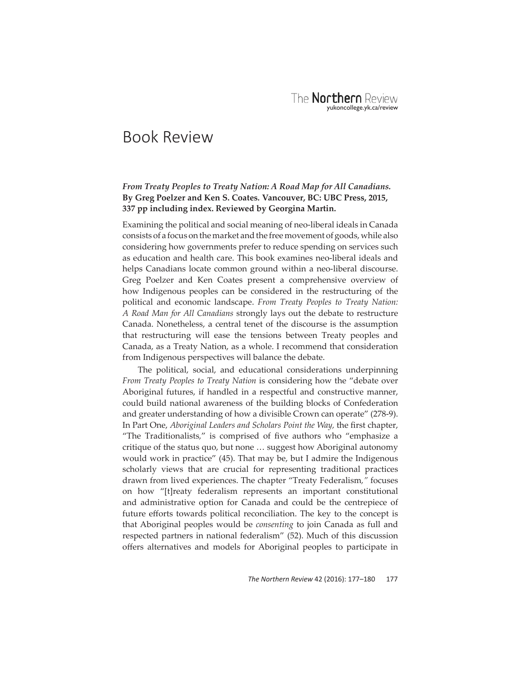# Book Review

## *From Treaty Peoples to Treaty Nation: A Road Map for All Canadians.*  **By Greg Poelzer and Ken S. Coates***.* **Vancouver, BC: UBC Press, 2015, 337 pp including index. Reviewed by Georgina Martin.**

Examining the political and social meaning of neo-liberal ideals in Canada consists of a focus on the market and the free movement of goods, while also considering how governments prefer to reduce spending on services such as education and health care. This book examines neo-liberal ideals and helps Canadians locate common ground within a neo-liberal discourse. Greg Poelzer and Ken Coates present a comprehensive overview of how Indigenous peoples can be considered in the restructuring of the political and economic landscape. *From Treaty Peoples to Treaty Nation: A Road Man for All Canadians* strongly lays out the debate to restructure Canada. Nonetheless, a central tenet of the discourse is the assumption that restructuring will ease the tensions between Treaty peoples and Canada, as a Treaty Nation, as a whole. I recommend that consideration from Indigenous perspectives will balance the debate.

The political, social, and educational considerations underpinning *From Treaty Peoples to Treaty Nation* is considering how the "debate over Aboriginal futures, if handled in a respectful and constructive manner, could build national awareness of the building blocks of Confederation and greater understanding of how a divisible Crown can operate" (278-9). In Part One, *Aboriginal Leaders and Scholars Point the Way*, the first chapter, "The Traditionalists," is comprised of five authors who "emphasize a critique of the status quo, but none … suggest how Aboriginal autonomy would work in practice" (45). That may be, but I admire the Indigenous scholarly views that are crucial for representing traditional practices drawn from lived experiences. The chapter "Treaty Federalism*,"* focuses on how "[t]reaty federalism represents an important constitutional and administrative option for Canada and could be the centrepiece of future efforts towards political reconciliation. The key to the concept is that Aboriginal peoples would be *consenting* to join Canada as full and respected partners in national federalism" (52). Much of this discussion offers alternatives and models for Aboriginal peoples to participate in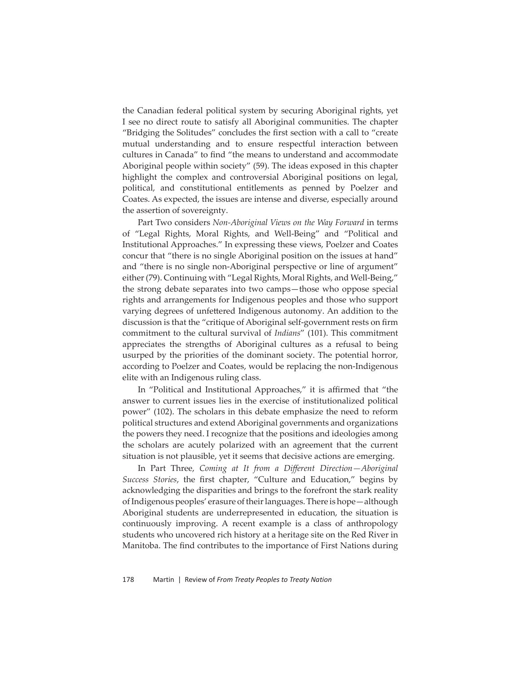the Canadian federal political system by securing Aboriginal rights, yet I see no direct route to satisfy all Aboriginal communities. The chapter "Bridging the Solitudes" concludes the first section with a call to "create" mutual understanding and to ensure respectful interaction between cultures in Canada" to find "the means to understand and accommodate Aboriginal people within society" (59). The ideas exposed in this chapter highlight the complex and controversial Aboriginal positions on legal, political, and constitutional entitlements as penned by Poelzer and Coates. As expected, the issues are intense and diverse, especially around the assertion of sovereignty.

Part Two considers *Non-Aboriginal Views on the Way Forward* in terms of "Legal Rights, Moral Rights, and Well-Being" and "Political and Institutional Approaches." In expressing these views, Poelzer and Coates concur that "there is no single Aboriginal position on the issues at hand" and "there is no single non-Aboriginal perspective or line of argument" either (79). Continuing with "Legal Rights, Moral Rights, and Well-Being," the strong debate separates into two camps—those who oppose special rights and arrangements for Indigenous peoples and those who support varying degrees of unfettered Indigenous autonomy. An addition to the discussion is that the "critique of Aboriginal self-government rests on firm commitment to the cultural survival of *Indians*" (101). This commitment appreciates the strengths of Aboriginal cultures as a refusal to being usurped by the priorities of the dominant society. The potential horror, according to Poelzer and Coates, would be replacing the non-Indigenous elite with an Indigenous ruling class.

In "Political and Institutional Approaches," it is affirmed that "the answer to current issues lies in the exercise of institutionalized political power" (102). The scholars in this debate emphasize the need to reform political structures and extend Aboriginal governments and organizations the powers they need. I recognize that the positions and ideologies among the scholars are acutely polarized with an agreement that the current situation is not plausible, yet it seems that decisive actions are emerging.

In Part Three, *Coming at It from a Different Direction-Aboriginal Success Stories*, the first chapter, "Culture and Education," begins by acknowledging the disparities and brings to the forefront the stark reality of Indigenous peoples' erasure of their languages. There is hope—although Aboriginal students are underrepresented in education, the situation is continuously improving. A recent example is a class of anthropology students who uncovered rich history at a heritage site on the Red River in Manitoba. The find contributes to the importance of First Nations during